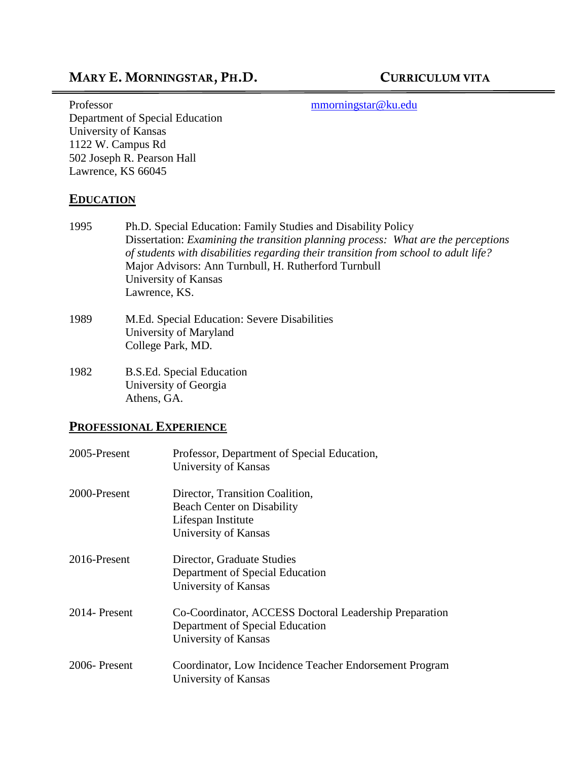## MARY E. MORNINGSTAR, PH.D. CURRICULUM VITA

Professor [mmorningstar@ku.edu](mailto:mmorningstar@ku.edu) Department of Special Education University of Kansas 1122 W. Campus Rd 502 Joseph R. Pearson Hall Lawrence, KS 66045

#### **EDUCATION**

- 1995 Ph.D. Special Education: Family Studies and Disability Policy Dissertation: *Examining the transition planning process: What are the perceptions of students with disabilities regarding their transition from school to adult life?* Major Advisors: Ann Turnbull, H. Rutherford Turnbull University of Kansas Lawrence, KS.
- 1989 M.Ed. Special Education: Severe Disabilities University of Maryland College Park, MD.
- 1982 B.S.Ed. Special Education University of Georgia Athens, GA.

#### **PROFESSIONAL EXPERIENCE**

| 2005-Present | Professor, Department of Special Education,<br>University of Kansas                                                |
|--------------|--------------------------------------------------------------------------------------------------------------------|
| 2000-Present | Director, Transition Coalition,<br><b>Beach Center on Disability</b><br>Lifespan Institute<br>University of Kansas |
| 2016-Present | Director, Graduate Studies<br>Department of Special Education<br>University of Kansas                              |
| 2014-Present | Co-Coordinator, ACCESS Doctoral Leadership Preparation<br>Department of Special Education<br>University of Kansas  |
| 2006-Present | Coordinator, Low Incidence Teacher Endorsement Program<br>University of Kansas                                     |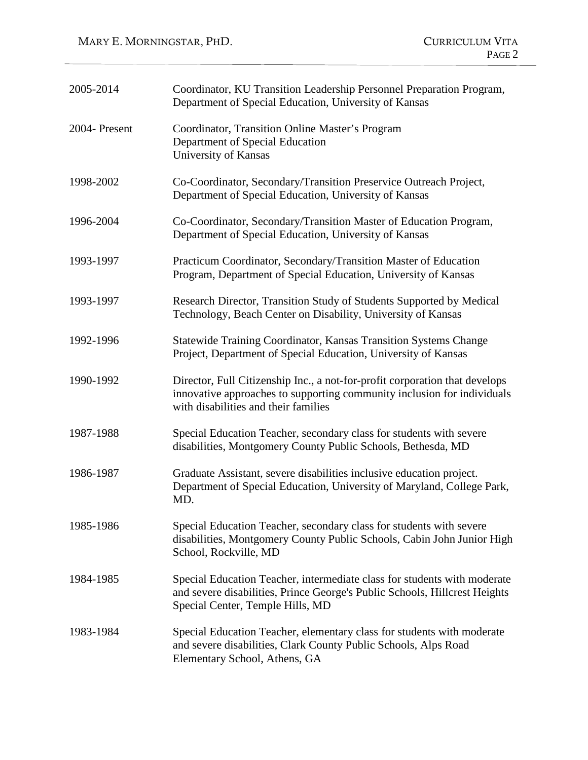| 2005-2014     | Coordinator, KU Transition Leadership Personnel Preparation Program,<br>Department of Special Education, University of Kansas                                                                  |
|---------------|------------------------------------------------------------------------------------------------------------------------------------------------------------------------------------------------|
| 2004- Present | Coordinator, Transition Online Master's Program<br>Department of Special Education<br>University of Kansas                                                                                     |
| 1998-2002     | Co-Coordinator, Secondary/Transition Preservice Outreach Project,<br>Department of Special Education, University of Kansas                                                                     |
| 1996-2004     | Co-Coordinator, Secondary/Transition Master of Education Program,<br>Department of Special Education, University of Kansas                                                                     |
| 1993-1997     | Practicum Coordinator, Secondary/Transition Master of Education<br>Program, Department of Special Education, University of Kansas                                                              |
| 1993-1997     | Research Director, Transition Study of Students Supported by Medical<br>Technology, Beach Center on Disability, University of Kansas                                                           |
| 1992-1996     | Statewide Training Coordinator, Kansas Transition Systems Change<br>Project, Department of Special Education, University of Kansas                                                             |
| 1990-1992     | Director, Full Citizenship Inc., a not-for-profit corporation that develops<br>innovative approaches to supporting community inclusion for individuals<br>with disabilities and their families |
| 1987-1988     | Special Education Teacher, secondary class for students with severe<br>disabilities, Montgomery County Public Schools, Bethesda, MD                                                            |
| 1986-1987     | Graduate Assistant, severe disabilities inclusive education project.<br>Department of Special Education, University of Maryland, College Park,<br>MD.                                          |
| 1985-1986     | Special Education Teacher, secondary class for students with severe<br>disabilities, Montgomery County Public Schools, Cabin John Junior High<br>School, Rockville, MD                         |
| 1984-1985     | Special Education Teacher, intermediate class for students with moderate<br>and severe disabilities, Prince George's Public Schools, Hillcrest Heights<br>Special Center, Temple Hills, MD     |
| 1983-1984     | Special Education Teacher, elementary class for students with moderate<br>and severe disabilities, Clark County Public Schools, Alps Road<br>Elementary School, Athens, GA                     |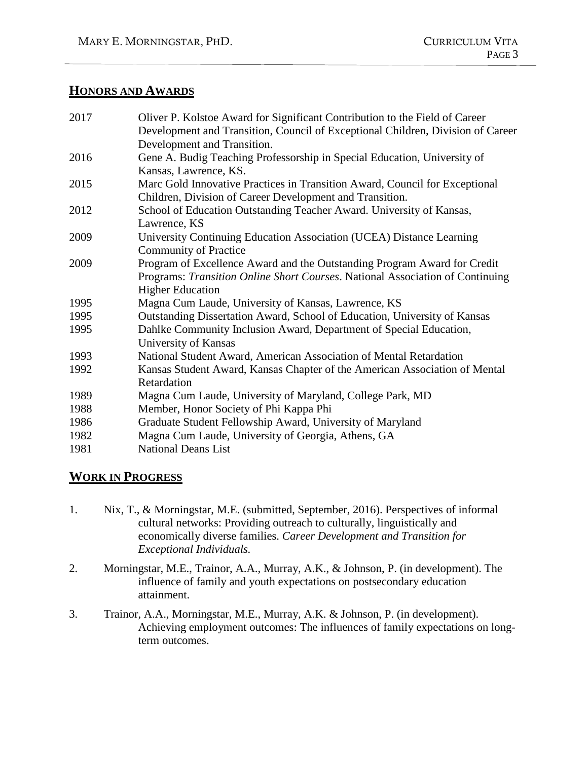#### **HONORS AND AWARDS**

| 2017 | Oliver P. Kolstoe Award for Significant Contribution to the Field of Career     |
|------|---------------------------------------------------------------------------------|
|      | Development and Transition, Council of Exceptional Children, Division of Career |
|      | Development and Transition.                                                     |
| 2016 | Gene A. Budig Teaching Professorship in Special Education, University of        |
|      | Kansas, Lawrence, KS.                                                           |
| 2015 | Marc Gold Innovative Practices in Transition Award, Council for Exceptional     |
|      | Children, Division of Career Development and Transition.                        |
| 2012 | School of Education Outstanding Teacher Award. University of Kansas,            |
|      | Lawrence, KS                                                                    |
| 2009 | University Continuing Education Association (UCEA) Distance Learning            |
|      | <b>Community of Practice</b>                                                    |
| 2009 | Program of Excellence Award and the Outstanding Program Award for Credit        |
|      | Programs: Transition Online Short Courses. National Association of Continuing   |
|      | <b>Higher Education</b>                                                         |
| 1995 | Magna Cum Laude, University of Kansas, Lawrence, KS                             |
| 1995 | Outstanding Dissertation Award, School of Education, University of Kansas       |
| 1995 | Dahlke Community Inclusion Award, Department of Special Education,              |
|      | University of Kansas                                                            |
| 1993 | National Student Award, American Association of Mental Retardation              |
| 1992 | Kansas Student Award, Kansas Chapter of the American Association of Mental      |
|      | Retardation                                                                     |
| 1989 | Magna Cum Laude, University of Maryland, College Park, MD                       |
| 1988 | Member, Honor Society of Phi Kappa Phi                                          |
| 1986 | Graduate Student Fellowship Award, University of Maryland                       |
| 1982 | Magna Cum Laude, University of Georgia, Athens, GA                              |
| 1981 | <b>National Deans List</b>                                                      |
|      |                                                                                 |

## **WORK IN PROGRESS**

- 1. Nix, T., & Morningstar, M.E. (submitted, September, 2016). Perspectives of informal cultural networks: Providing outreach to culturally, linguistically and economically diverse families. *Career Development and Transition for Exceptional Individuals.*
- 2. Morningstar, M.E., Trainor, A.A., Murray, A.K., & Johnson, P. (in development). The influence of family and youth expectations on postsecondary education attainment.
- 3. Trainor, A.A., Morningstar, M.E., Murray, A.K. & Johnson, P. (in development). Achieving employment outcomes: The influences of family expectations on longterm outcomes.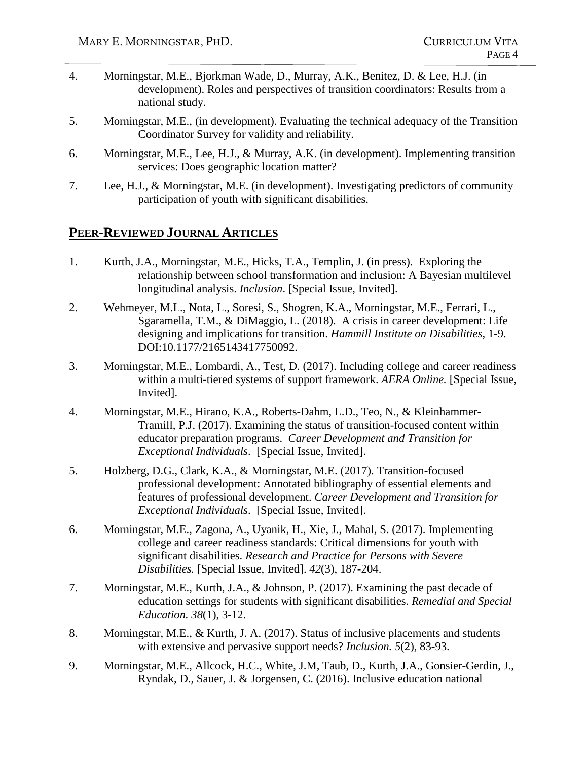- 4. Morningstar, M.E., Bjorkman Wade, D., Murray, A.K., Benitez, D. & Lee, H.J. (in development). Roles and perspectives of transition coordinators: Results from a national study.
- 5. Morningstar, M.E., (in development). Evaluating the technical adequacy of the Transition Coordinator Survey for validity and reliability.
- 6. Morningstar, M.E., Lee, H.J., & Murray, A.K. (in development). Implementing transition services: Does geographic location matter?
- 7. Lee, H.J., & Morningstar, M.E. (in development). Investigating predictors of community participation of youth with significant disabilities.

#### **PEER-REVIEWED JOURNAL ARTICLES**

- 1. Kurth, J.A., Morningstar, M.E., Hicks, T.A., Templin, J. (in press). Exploring the relationship between school transformation and inclusion: A Bayesian multilevel longitudinal analysis. *Inclusion*. [Special Issue, Invited].
- 2. Wehmeyer, M.L., Nota, L., Soresi, S., Shogren, K.A., Morningstar, M.E., Ferrari, L., Sgaramella, T.M., & DiMaggio, L. (2018). A crisis in career development: Life designing and implications for transition. *Hammill Institute on Disabilities*, 1-9. DOI:10.1177/2165143417750092.
- 3. Morningstar, M.E., Lombardi, A., Test, D. (2017). Including college and career readiness within a multi-tiered systems of support framework. *AERA Online.* [Special Issue, Invited].
- 4. Morningstar, M.E., Hirano, K.A., Roberts-Dahm, L.D., Teo, N., & Kleinhammer-Tramill, P.J. (2017). Examining the status of transition-focused content within educator preparation programs. *Career Development and Transition for Exceptional Individuals*. [Special Issue, Invited].
- 5. Holzberg, D.G., Clark, K.A., & Morningstar, M.E. (2017). Transition-focused professional development: Annotated bibliography of essential elements and features of professional development. *Career Development and Transition for Exceptional Individuals*. [Special Issue, Invited].
- 6. Morningstar, M.E., Zagona, A., Uyanik, H., Xie, J., Mahal, S. (2017). Implementing college and career readiness standards: Critical dimensions for youth with significant disabilities. *Research and Practice for Persons with Severe Disabilities.* [Special Issue, Invited]. *42*(3), 187-204.
- 7. Morningstar, M.E., Kurth, J.A., & Johnson, P. (2017). Examining the past decade of education settings for students with significant disabilities. *Remedial and Special Education. 38*(1), 3-12.
- 8. Morningstar, M.E., & Kurth, J. A. (2017). Status of inclusive placements and students with extensive and pervasive support needs? *Inclusion. 5*(2), 83-93.
- 9. Morningstar, M.E., Allcock, H.C., White, J.M, Taub, D., Kurth, J.A., Gonsier-Gerdin, J., Ryndak, D., Sauer, J. & Jorgensen, C. (2016). Inclusive education national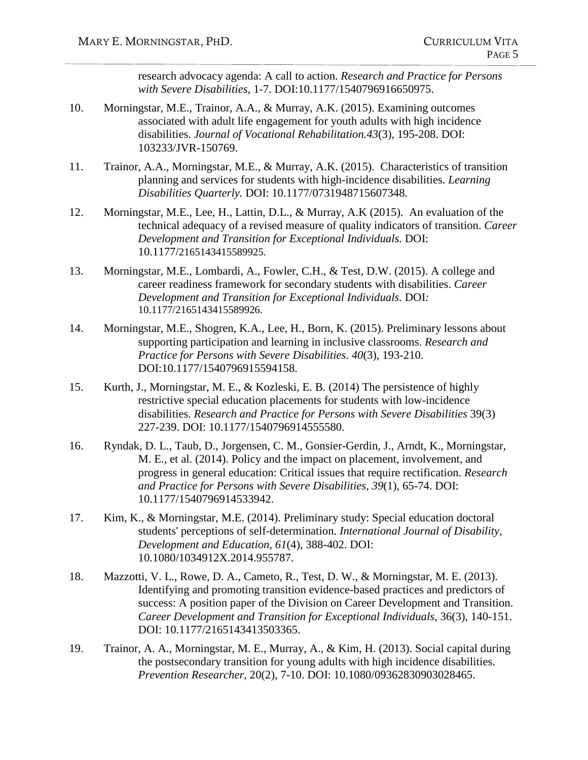research advocacy agenda: A call to action. *Research and Practice for Persons with Severe Disabilities*, 1-7. DOI:10.1177/1540796916650975.

- 10. Morningstar, M.E., Trainor, A.A., & Murray, A.K. (2015). Examining outcomes associated with adult life engagement for youth adults with high incidence disabilities. *Journal of Vocational Rehabilitation.43*(3), 195-208. DOI: 103233/JVR-150769.
- 11. Trainor, A.A., Morningstar, M.E., & Murray, A.K. (2015). Characteristics of transition planning and services for students with high-incidence disabilities. *Learning Disabilities Quarterly.* DOI: 10.1177/0731948715607348.
- 12. Morningstar, M.E., Lee, H., Lattin, D.L., & Murray, A.K (2015). An evaluation of the technical adequacy of a revised measure of quality indicators of transition. *Career Development and Transition for Exceptional Individuals.* DOI: 10.1177/2165143415589925.
- 13. Morningstar, M.E., Lombardi, A., Fowler, C.H., & Test, D.W. (2015). A college and career readiness framework for secondary students with disabilities. *Career Development and Transition for Exceptional Individuals.* DOI*:*  10.1177/2165143415589926.
- 14. Morningstar, M.E., Shogren, K.A., Lee, H., Born, K. (2015). Preliminary lessons about supporting participation and learning in inclusive classrooms. *Research and Practice for Persons with Severe Disabilities*. *40*(3), 193-210. DOI:10.1177/1540796915594158.
- 15. Kurth, J., Morningstar, M. E., & Kozleski, E. B. (2014) The persistence of highly restrictive special education placements for students with low-incidence disabilities. *Research and Practice for Persons with Severe Disabilities* 39(3) 227-239. DOI: 10.1177/1540796914555580.
- 16. Ryndak, D. L., Taub, D., Jorgensen, C. M., Gonsier-Gerdin, J., Arndt, K., Morningstar, M. E., et al. (2014). Policy and the impact on placement, involvement, and progress in general education: Critical issues that require rectification. *Research and Practice for Persons with Severe Disabilities, 39*(1), 65-74. DOI: 10.1177/1540796914533942.
- 17. Kim, K., & Morningstar, M.E. (2014). Preliminary study: Special education doctoral students' perceptions of self-determination. *International Journal of Disability, Development and Education, 61*(4), 388-402. DOI: 10.1080/1034912X.2014.955787.
- 18. Mazzotti, V. L., Rowe, D. A., Cameto, R., Test, D. W., & Morningstar, M. E. (2013). Identifying and promoting transition evidence-based practices and predictors of success: A position paper of the Division on Career Development and Transition. *Career Development and Transition for Exceptional Individuals*, 36(3), 140-151. DOI: 10.1177/2165143413503365.
- 19. Trainor, A. A., Morningstar, M. E., Murray, A., & Kim, H. (2013). Social capital during the postsecondary transition for young adults with high incidence disabilities. *Prevention Researcher,* 20(2), 7-10. DOI: 10.1080/09362830903028465.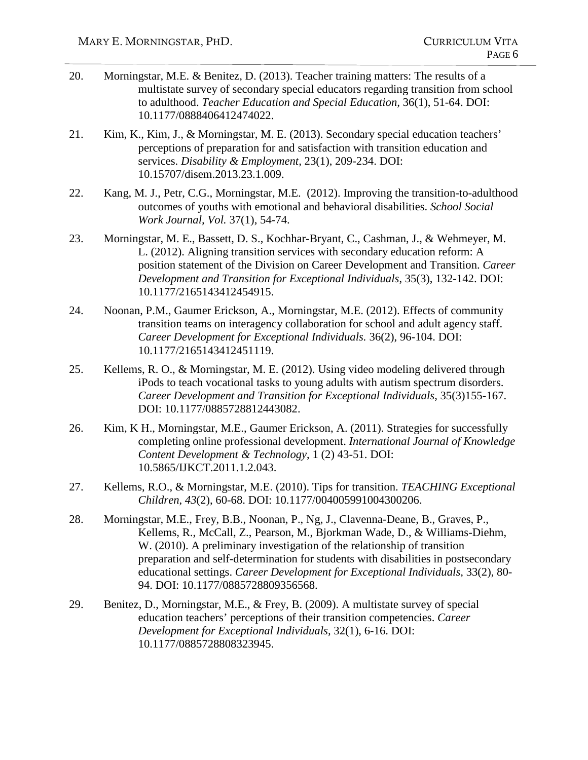- 20. Morningstar, M.E. & Benitez, D. (2013). Teacher training matters: The results of a multistate survey of secondary special educators regarding transition from school to adulthood. *Teacher Education and Special Education,* 36(1), 51-64. DOI: 10.1177/0888406412474022.
- 21. Kim, K., Kim, J., & Morningstar, M. E. (2013). Secondary special education teachers' perceptions of preparation for and satisfaction with transition education and services. *Disability & Employment,* 23(1), 209-234. DOI: 10.15707/disem.2013.23.1.009.
- 22. Kang, M. J., Petr, C.G., Morningstar, M.E. (2012). Improving the transition-to-adulthood outcomes of youths with emotional and behavioral disabilities. *School Social Work Journal, Vol.* 37(1), 54-74.
- 23. Morningstar, M. E., Bassett, D. S., Kochhar-Bryant, C., Cashman, J., & Wehmeyer, M. L. (2012). Aligning transition services with secondary education reform: A position statement of the Division on Career Development and Transition. *Career Development and Transition for Exceptional Individuals*, 35(3), 132-142. DOI: 10.1177/2165143412454915.
- 24. Noonan, P.M., Gaumer Erickson, A., Morningstar, M.E. (2012). Effects of community transition teams on interagency collaboration for school and adult agency staff. *Career Development for Exceptional Individuals.* 36(2), 96-104. DOI: 10.1177/2165143412451119.
- 25. Kellems, R. O., & Morningstar, M. E. (2012). Using video modeling delivered through iPods to teach vocational tasks to young adults with autism spectrum disorders. *Career Development and Transition for Exceptional Individuals*, 35(3)155-167. DOI: 10.1177/0885728812443082.
- 26. Kim, K H., Morningstar, M.E., Gaumer Erickson, A. (2011). Strategies for successfully completing online professional development. *International Journal of Knowledge Content Development & Technology*, 1 (2) 43-51. DOI: 10.5865/IJKCT.2011.1.2.043.
- 27. Kellems, R.O., & Morningstar, M.E. (2010). Tips for transition. *TEACHING Exceptional Children*, *43*(2), 60-68. DOI: 10.1177/004005991004300206.
- 28. Morningstar, M.E., Frey, B.B., Noonan, P., Ng, J., Clavenna-Deane, B., Graves, P., Kellems, R., McCall, Z., Pearson, M., Bjorkman Wade, D., & Williams-Diehm, W. (2010). A preliminary investigation of the relationship of transition preparation and self-determination for students with disabilities in postsecondary educational settings. *Career Development for Exceptional Individuals,* 33(2), 80- 94. DOI: 10.1177/0885728809356568.
- 29. Benitez, D., Morningstar, M.E., & Frey, B. (2009). A multistate survey of special education teachers' perceptions of their transition competencies. *Career Development for Exceptional Individuals,* 32(1), 6-16. DOI: 10.1177/0885728808323945.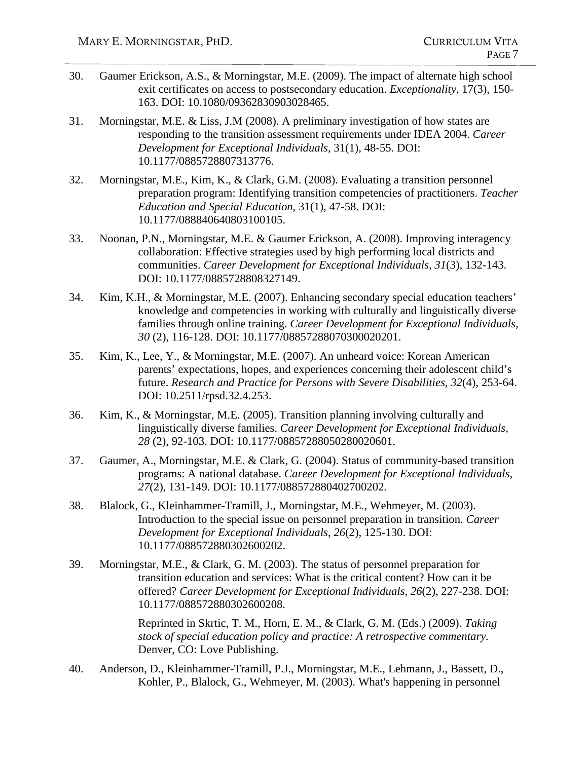- 30. Gaumer Erickson, A.S., & Morningstar, M.E. (2009). The impact of alternate high school exit certificates on access to postsecondary education. *Exceptionality,* 17(3), 150- 163. DOI: 10.1080/09362830903028465.
- 31. Morningstar, M.E. & Liss, J.M (2008). A preliminary investigation of how states are responding to the transition assessment requirements under IDEA 2004. *Career Development for Exceptional Individuals,* 31(1), 48-55. DOI: 10.1177/0885728807313776.
- 32. Morningstar, M.E., Kim, K., & Clark, G.M. (2008). Evaluating a transition personnel preparation program: Identifying transition competencies of practitioners. *Teacher Education and Special Education,* 31(1), 47-58. DOI: 10.1177/088840640803100105.
- 33. Noonan, P.N., Morningstar, M.E. & Gaumer Erickson, A. (2008). Improving interagency collaboration: Effective strategies used by high performing local districts and communities. *Career Development for Exceptional Individuals, 31*(3), 132-143. DOI: 10.1177/0885728808327149.
- 34. Kim, K.H., & Morningstar, M.E. (2007). Enhancing secondary special education teachers' knowledge and competencies in working with culturally and linguistically diverse families through online training. *Career Development for Exceptional Individuals, 30* (2), 116-128. DOI: 10.1177/08857288070300020201.
- 35. Kim, K., Lee, Y., & Morningstar, M.E. (2007). An unheard voice: Korean American parents' expectations, hopes, and experiences concerning their adolescent child's future. *Research and Practice for Persons with Severe Disabilities, 32*(4), 253-64. DOI: 10.2511/rpsd.32.4.253.
- 36. Kim, K., & Morningstar, M.E. (2005). Transition planning involving culturally and linguistically diverse families. *Career Development for Exceptional Individuals, 28* (2), 92-103. DOI: 10.1177/08857288050280020601.
- 37. Gaumer, A., Morningstar, M.E. & Clark, G. (2004). Status of community-based transition programs: A national database. *Career Development for Exceptional Individuals, 27*(2), 131-149. DOI: 10.1177/088572880402700202.
- 38. Blalock, G., Kleinhammer-Tramill, J., Morningstar, M.E., Wehmeyer, M. (2003). Introduction to the special issue on personnel preparation in transition. *Career Development for Exceptional Individuals, 26*(2), 125-130. DOI: 10.1177/088572880302600202.
- 39. Morningstar, M.E., & Clark, G. M. (2003). The status of personnel preparation for transition education and services: What is the critical content? How can it be offered? *Career Development for Exceptional Individuals, 26*(2), 227-238. DOI: 10.1177/088572880302600208.

Reprinted in Skrtic, T. M., Horn, E. M., & Clark, G. M. (Eds.) (2009). *Taking stock of special education policy and practice: A retrospective commentary.* Denver, CO: Love Publishing.

40. Anderson, D., Kleinhammer-Tramill, P.J., Morningstar, M.E., Lehmann, J., Bassett, D., Kohler, P., Blalock, G., Wehmeyer, M. (2003). What's happening in personnel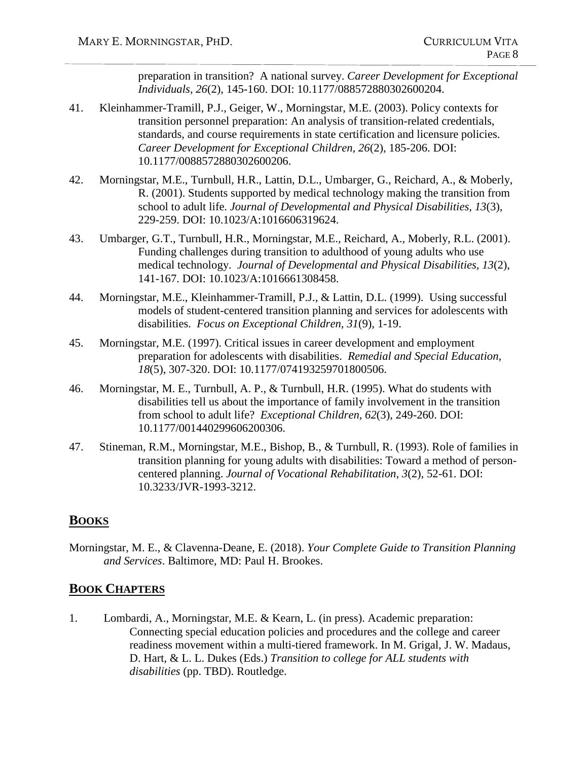preparation in transition? A national survey. *Career Development for Exceptional Individuals, 26*(2), 145-160. DOI: 10.1177/088572880302600204.

- 41. Kleinhammer-Tramill, P.J., Geiger, W., Morningstar, M.E. (2003). Policy contexts for transition personnel preparation: An analysis of transition-related credentials, standards, and course requirements in state certification and licensure policies. *Career Development for Exceptional Children, 26*(2), 185-206. DOI: 10.1177/0088572880302600206.
- 42. Morningstar, M.E., Turnbull, H.R., Lattin, D.L., Umbarger, G., Reichard, A., & Moberly, R. (2001). Students supported by medical technology making the transition from school to adult life. *Journal of Developmental and Physical Disabilities, 13*(3), 229-259. DOI: 10.1023/A:1016606319624.
- 43. Umbarger, G.T., Turnbull, H.R., Morningstar, M.E., Reichard, A., Moberly, R.L. (2001). Funding challenges during transition to adulthood of young adults who use medical technology. *Journal of Developmental and Physical Disabilities, 13*(2), 141-167. DOI: 10.1023/A:1016661308458.
- 44. Morningstar, M.E., Kleinhammer-Tramill, P.J., & Lattin, D.L. (1999). Using successful models of student-centered transition planning and services for adolescents with disabilities. *Focus on Exceptional Children, 31*(9), 1-19.
- 45. Morningstar, M.E. (1997). Critical issues in career development and employment preparation for adolescents with disabilities. *Remedial and Special Education, 18*(5), 307-320. DOI: 10.1177/074193259701800506.
- 46. Morningstar, M. E., Turnbull, A. P., & Turnbull, H.R. (1995). What do students with disabilities tell us about the importance of family involvement in the transition from school to adult life? *Exceptional Children, 62*(3), 249-260. DOI: 10.1177/001440299606200306.
- 47. Stineman, R.M., Morningstar, M.E., Bishop, B., & Turnbull, R. (1993). Role of families in transition planning for young adults with disabilities: Toward a method of personcentered planning. *Journal of Vocational Rehabilitation, 3*(2), 52-61. DOI: 10.3233/JVR-1993-3212.

#### **BOOKS**

Morningstar, M. E., & Clavenna-Deane, E. (2018). *Your Complete Guide to Transition Planning and Services*. Baltimore, MD: Paul H. Brookes.

#### **BOOK CHAPTERS**

1. Lombardi, A., Morningstar, M.E. & Kearn, L. (in press). Academic preparation: Connecting special education policies and procedures and the college and career readiness movement within a multi-tiered framework. In M. Grigal, J. W. Madaus, D. Hart, & L. L. Dukes (Eds.) *Transition to college for ALL students with disabilities* (pp. TBD). Routledge.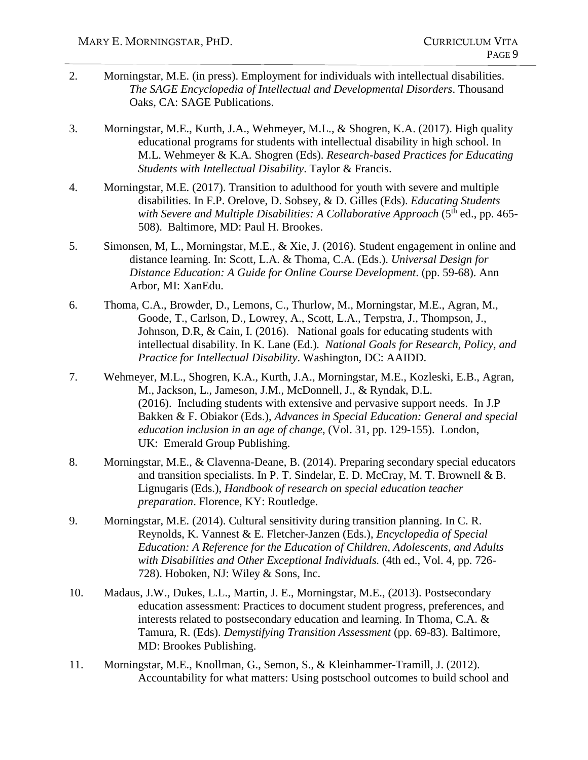- 2. Morningstar, M.E. (in press). Employment for individuals with intellectual disabilities. *The SAGE Encyclopedia of Intellectual and Developmental Disorders*. Thousand Oaks, CA: SAGE Publications.
- 3. Morningstar, M.E., Kurth, J.A., Wehmeyer, M.L., & Shogren, K.A. (2017). High quality educational programs for students with intellectual disability in high school. In M.L. Wehmeyer & K.A. Shogren (Eds). *Research-based Practices for Educating Students with Intellectual Disability*. Taylor & Francis.
- 4. Morningstar, M.E. (2017). Transition to adulthood for youth with severe and multiple disabilities. In F.P. Orelove, D. Sobsey, & D. Gilles (Eds). *Educating Students*  with Severe and Multiple Disabilities: A Collaborative Approach (5<sup>th</sup> ed., pp. 465-508). Baltimore, MD: Paul H. Brookes.
- 5. Simonsen, M, L., Morningstar, M.E., & Xie, J. (2016). Student engagement in online and distance learning. In: Scott, L.A. & Thoma, C.A. (Eds.). *Universal Design for Distance Education: A Guide for Online Course Development*. (pp. 59-68). Ann Arbor, MI: XanEdu.
- 6. Thoma, C.A., Browder, D., Lemons, C., Thurlow, M., Morningstar, M.E., Agran, M., Goode, T., Carlson, D., Lowrey, A., Scott, L.A., Terpstra, J., Thompson, J., Johnson, D.R, & Cain, I. (2016). National goals for educating students with intellectual disability. In K. Lane (Ed.)*. National Goals for Research, Policy, and Practice for Intellectual Disability*. Washington, DC: AAIDD.
- 7. Wehmeyer, M.L., Shogren, K.A., Kurth, J.A., Morningstar, M.E., Kozleski, E.B., Agran, M., Jackson, L., Jameson, J.M., McDonnell, J., & Ryndak, D.L. (2016). Including students with extensive and pervasive support needs. In J.P Bakken & F. Obiakor (Eds.), *Advances in Special Education: General and special education inclusion in an age of change*, (Vol. 31, pp. 129-155). London, UK: Emerald Group Publishing.
- 8. Morningstar, M.E., & Clavenna-Deane, B. (2014). Preparing secondary special educators and transition specialists. In P. T. Sindelar, E. D. McCray, M. T. Brownell & B. Lignugaris (Eds.), *Handbook of research on special education teacher preparation*. Florence, KY: Routledge.
- 9. Morningstar, M.E. (2014). Cultural sensitivity during transition planning. In C. R. Reynolds, K. Vannest & E. Fletcher-Janzen (Eds.), *Encyclopedia of Special Education: A Reference for the Education of Children, Adolescents, and Adults with Disabilities and Other Exceptional Individuals.* (4th ed., Vol. 4, pp. 726- 728). Hoboken, NJ: Wiley & Sons, Inc.
- 10. Madaus, J.W., Dukes, L.L., Martin, J. E., Morningstar, M.E., (2013). Postsecondary education assessment: Practices to document student progress, preferences, and interests related to postsecondary education and learning. In Thoma, C.A. & Tamura, R. (Eds). *Demystifying Transition Assessment* (pp. 69-83)*.* Baltimore, MD: Brookes Publishing.
- 11. Morningstar, M.E., Knollman, G., Semon, S., & Kleinhammer-Tramill, J. (2012). Accountability for what matters: Using postschool outcomes to build school and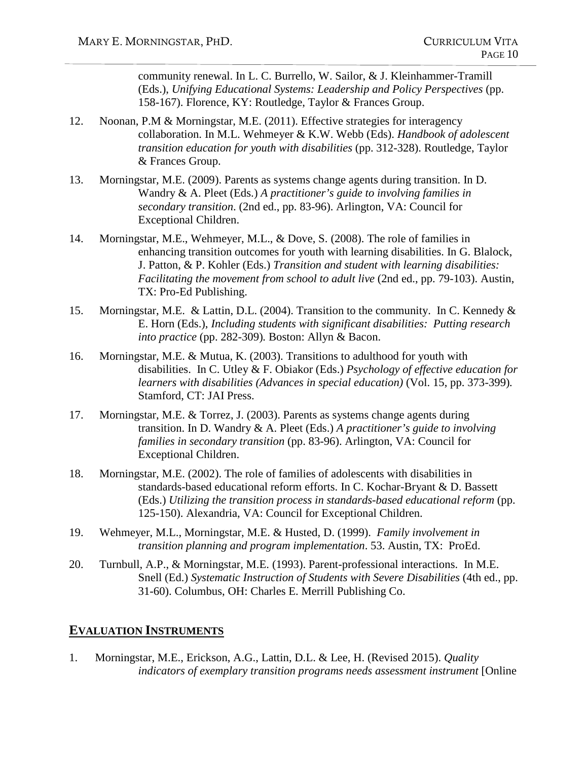community renewal. In L. C. Burrello, W. Sailor, & J. Kleinhammer-Tramill (Eds.), *Unifying Educational Systems: Leadership and Policy Perspectives* (pp. 158-167). Florence, KY: Routledge, Taylor & Frances Group.

- 12. Noonan, P.M & Morningstar, M.E. (2011). Effective strategies for interagency collaboration. In M.L. Wehmeyer & K.W. Webb (Eds). *Handbook of adolescent transition education for youth with disabilities* (pp. 312-328). Routledge, Taylor & Frances Group.
- 13. Morningstar, M.E. (2009). Parents as systems change agents during transition. In D. Wandry & A. Pleet (Eds.) *A practitioner's guide to involving families in secondary transition*. (2nd ed., pp. 83-96). Arlington, VA: Council for Exceptional Children.
- 14. Morningstar, M.E., Wehmeyer, M.L., & Dove, S. (2008). The role of families in enhancing transition outcomes for youth with learning disabilities. In G. Blalock, J. Patton, & P. Kohler (Eds.) *Transition and student with learning disabilities: Facilitating the movement from school to adult live (2nd ed., pp. 79-103). Austin,* TX: Pro-Ed Publishing.
- 15. Morningstar, M.E. & Lattin, D.L. (2004). Transition to the community. In C. Kennedy & E. Horn (Eds.), *Including students with significant disabilities: Putting research into practice* (pp. 282-309)*.* Boston: Allyn & Bacon.
- 16. Morningstar, M.E. & Mutua, K. (2003). Transitions to adulthood for youth with disabilities. In C. Utley & F. Obiakor (Eds.) *Psychology of effective education for learners with disabilities (Advances in special education)* (Vol. 15, pp. 373-399)*.* Stamford, CT: JAI Press.
- 17. Morningstar, M.E. & Torrez, J. (2003). Parents as systems change agents during transition. In D. Wandry & A. Pleet (Eds.) *A practitioner's guide to involving families in secondary transition* (pp. 83-96). Arlington, VA: Council for Exceptional Children.
- 18. Morningstar, M.E. (2002). The role of families of adolescents with disabilities in standards-based educational reform efforts. In C. Kochar-Bryant & D. Bassett (Eds.) *Utilizing the transition process in standards-based educational reform* (pp. 125-150). Alexandria, VA: Council for Exceptional Children.
- 19. Wehmeyer, M.L., Morningstar, M.E. & Husted, D. (1999). *Family involvement in transition planning and program implementation*. 53. Austin, TX: ProEd.
- 20. Turnbull, A.P., & Morningstar, M.E. (1993). Parent-professional interactions. In M.E. Snell (Ed.) *Systematic Instruction of Students with Severe Disabilities* (4th ed., pp. 31-60). Columbus, OH: Charles E. Merrill Publishing Co.

## **EVALUATION INSTRUMENTS**

1. Morningstar, M.E., Erickson, A.G., Lattin, D.L. & Lee, H. (Revised 2015). *Quality indicators of exemplary transition programs needs assessment instrument* [Online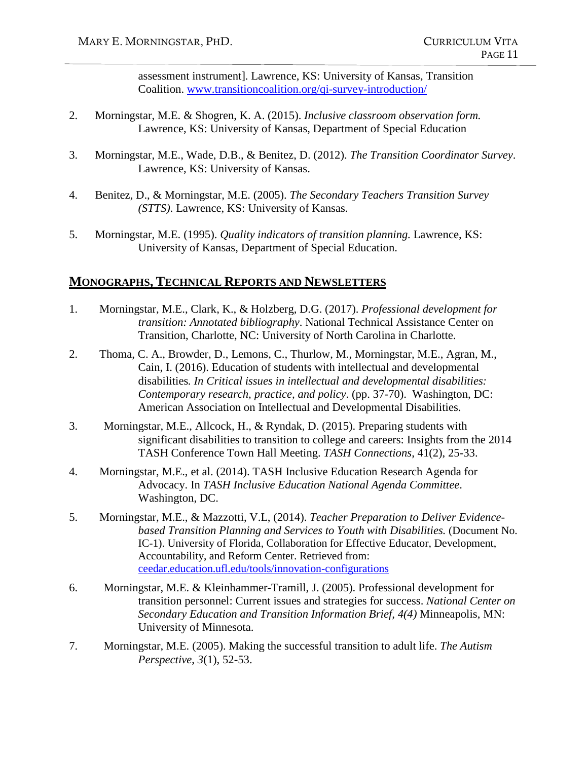assessment instrument]*.* Lawrence, KS: University of Kansas, Transition Coalition. [www.transitioncoalition.org/qi-survey-introduction/](http://www.transitioncoalition.org/qi-survey-introduction/)

- 2. Morningstar, M.E. & Shogren, K. A. (2015). *Inclusive classroom observation form.* Lawrence, KS: University of Kansas, Department of Special Education
- 3. Morningstar, M.E., Wade, D.B., & Benitez, D. (2012). *The Transition Coordinator Survey*. Lawrence, KS: University of Kansas.
- 4. Benitez, D., & Morningstar, M.E. (2005). *The Secondary Teachers Transition Survey (STTS)*. Lawrence, KS: University of Kansas.
- 5. Morningstar, M.E. (1995). *Quality indicators of transition planning.* Lawrence, KS: University of Kansas, Department of Special Education.

#### **MONOGRAPHS, TECHNICAL REPORTS AND NEWSLETTERS**

- 1. Morningstar, M.E., Clark, K., & Holzberg, D.G. (2017). *Professional development for transition: Annotated bibliography*. National Technical Assistance Center on Transition, Charlotte, NC: University of North Carolina in Charlotte.
- 2. Thoma, C. A., Browder, D., Lemons, C., Thurlow, M., Morningstar, M.E., Agran, M., Cain, I. (2016). Education of students with intellectual and developmental disabilities*. In Critical issues in intellectual and developmental disabilities: Contemporary research, practice, and policy*. (pp. 37-70). Washington, DC: American Association on Intellectual and Developmental Disabilities.
- 3. Morningstar, M.E., Allcock, H., & Ryndak, D. (2015). Preparing students with significant disabilities to transition to college and careers: Insights from the 2014 TASH Conference Town Hall Meeting. *TASH Connections*, 41(2), 25-33.
- 4. Morningstar, M.E., et al. (2014). TASH Inclusive Education Research Agenda for Advocacy. In *TASH Inclusive Education National Agenda Committee*. Washington, DC.
- 5. Morningstar, M.E., & Mazzotti, V.L, (2014). *Teacher Preparation to Deliver Evidencebased Transition Planning and Services to Youth with Disabilities.* (Document No. IC-1). University of Florida, Collaboration for Effective Educator, Development, Accountability, and Reform Center. Retrieved from: [ceedar.education.ufl.edu/tools/innovation-configurations](http://ceedar.education.ufl.edu/tools/innovation-configurations)
- 6. Morningstar, M.E. & Kleinhammer-Tramill, J. (2005). Professional development for transition personnel: Current issues and strategies for success. *National Center on Secondary Education and Transition Information Brief, 4(4)* Minneapolis, MN: University of Minnesota.
- 7. Morningstar, M.E. (2005). Making the successful transition to adult life. *The Autism Perspective*, *3*(1), 52-53.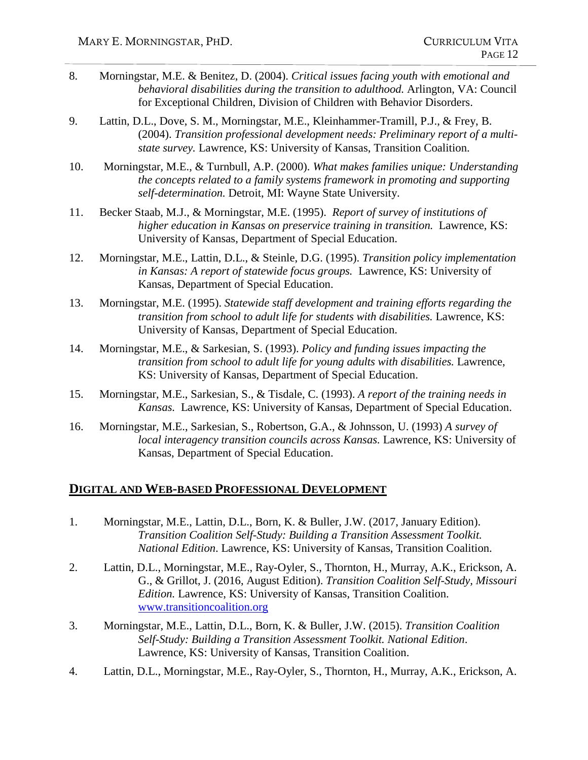- 8. Morningstar, M.E. & Benitez, D. (2004). *Critical issues facing youth with emotional and behavioral disabilities during the transition to adulthood.* Arlington, VA: Council for Exceptional Children, Division of Children with Behavior Disorders.
- 9. Lattin, D.L., Dove, S. M., Morningstar, M.E., Kleinhammer-Tramill, P.J., & Frey, B. (2004). *Transition professional development needs: Preliminary report of a multistate survey.* Lawrence, KS: University of Kansas, Transition Coalition.
- 10. Morningstar, M.E., & Turnbull, A.P. (2000). *What makes families unique: Understanding the concepts related to a family systems framework in promoting and supporting self-determination.* Detroit, MI: Wayne State University.
- 11. Becker Staab, M.J., & Morningstar, M.E. (1995). *Report of survey of institutions of higher education in Kansas on preservice training in transition.* Lawrence, KS: University of Kansas, Department of Special Education.
- 12. Morningstar, M.E., Lattin, D.L., & Steinle, D.G. (1995). *Transition policy implementation in Kansas: A report of statewide focus groups.* Lawrence, KS: University of Kansas, Department of Special Education.
- 13. Morningstar, M.E. (1995). *Statewide staff development and training efforts regarding the transition from school to adult life for students with disabilities.* Lawrence, KS: University of Kansas, Department of Special Education.
- 14. Morningstar, M.E., & Sarkesian, S. (1993). *Policy and funding issues impacting the transition from school to adult life for young adults with disabilities.* Lawrence, KS: University of Kansas, Department of Special Education.
- 15. Morningstar, M.E., Sarkesian, S., & Tisdale, C. (1993). *A report of the training needs in Kansas.* Lawrence, KS: University of Kansas, Department of Special Education.
- 16. Morningstar, M.E., Sarkesian, S., Robertson, G.A., & Johnsson, U. (1993) *A survey of local interagency transition councils across Kansas.* Lawrence, KS: University of Kansas, Department of Special Education.

#### **DIGITAL AND WEB-BASED PROFESSIONAL DEVELOPMENT**

- 1. Morningstar, M.E., Lattin, D.L., Born, K. & Buller, J.W. (2017, January Edition). *Transition Coalition Self-Study: Building a Transition Assessment Toolkit. National Edition*. Lawrence, KS: University of Kansas, Transition Coalition.
- 2. Lattin, D.L., Morningstar, M.E., Ray-Oyler, S., Thornton, H., Murray, A.K., Erickson, A. G., & Grillot, J. (2016, August Edition). *Transition Coalition Self-Study, Missouri Edition.* Lawrence, KS: University of Kansas, Transition Coalition. [www.transitioncoalition.org](http://www.transitioncoalition.org/)
- 3. Morningstar, M.E., Lattin, D.L., Born, K. & Buller, J.W. (2015). *Transition Coalition Self-Study: Building a Transition Assessment Toolkit. National Edition*. Lawrence, KS: University of Kansas, Transition Coalition.
- 4. Lattin, D.L., Morningstar, M.E., Ray-Oyler, S., Thornton, H., Murray, A.K., Erickson, A.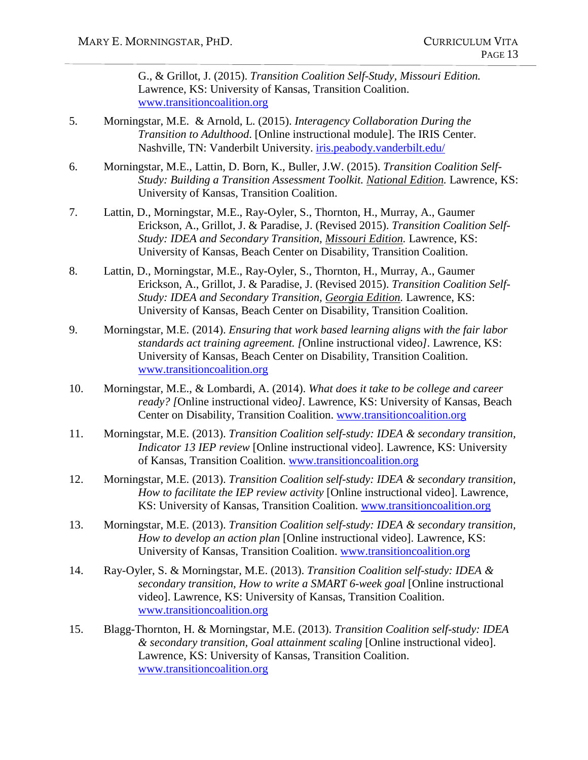G., & Grillot, J. (2015). *Transition Coalition Self-Study, Missouri Edition.* Lawrence, KS: University of Kansas, Transition Coalition. [www.transitioncoalition.org](http://www.transitioncoalition.org/)

- 5. Morningstar, M.E. & Arnold, L. (2015). *Interagency Collaboration During the Transition to Adulthood*. [Online instructional module]. The IRIS Center. Nashville, TN: Vanderbilt University. [iris.peabody.vanderbilt.edu/](http://iris.peabody.vanderbilt.edu/)
- 6. Morningstar, M.E., Lattin, D. Born, K., Buller, J.W. (2015). *Transition Coalition Self-Study: Building a Transition Assessment Toolkit. National Edition.* Lawrence, KS: University of Kansas, Transition Coalition.
- 7. Lattin, D., Morningstar, M.E., Ray-Oyler, S., Thornton, H., Murray, A., Gaumer Erickson, A., Grillot, J. & Paradise, J. (Revised 2015). *Transition Coalition Self-Study: IDEA and Secondary Transition, Missouri Edition.* Lawrence, KS: University of Kansas, Beach Center on Disability, Transition Coalition.
- 8. Lattin, D., Morningstar, M.E., Ray-Oyler, S., Thornton, H., Murray, A., Gaumer Erickson, A., Grillot, J. & Paradise, J. (Revised 2015). *Transition Coalition Self-Study: IDEA and Secondary Transition, Georgia Edition.* Lawrence, KS: University of Kansas, Beach Center on Disability, Transition Coalition.
- 9. Morningstar, M.E. (2014). *Ensuring that work based learning aligns with the fair labor standards act training agreement. [*Online instructional video*].* Lawrence, KS: University of Kansas, Beach Center on Disability, Transition Coalition. [www.transitioncoalition.org](http://www.transitioncoalition.org/)
- 10. Morningstar, M.E., & Lombardi, A. (2014). *What does it take to be college and career ready? [*Online instructional video*].* Lawrence, KS: University of Kansas, Beach Center on Disability, Transition Coalition. [www.transitioncoalition.org](http://www.transitioncoalition.org/)
- 11. Morningstar, M.E. (2013). *Transition Coalition self-study: IDEA & secondary transition, Indicator 13 IEP review* [Online instructional video]. Lawrence, KS: University of Kansas, Transition Coalition. [www.transitioncoalition.org](http://www.transitioncoalition.org/)
- 12. Morningstar, M.E. (2013). *Transition Coalition self-study: IDEA & secondary transition, How to facilitate the IEP review activity* [Online instructional video]. Lawrence, KS: University of Kansas, Transition Coalition. [www.transitioncoalition.org](http://www.transitioncoalition.org/)
- 13. Morningstar, M.E. (2013). *Transition Coalition self-study: IDEA & secondary transition, How to develop an action plan* [Online instructional video]. Lawrence, KS: University of Kansas, Transition Coalition. [www.transitioncoalition.org](http://www.transitioncoalition.org/)
- 14. Ray-Oyler, S. & Morningstar, M.E. (2013). *Transition Coalition self-study: IDEA & secondary transition, How to write a SMART 6-week goal* [Online instructional video]. Lawrence, KS: University of Kansas, Transition Coalition. [www.transitioncoalition.org](http://www.transitioncoalition.org/)
- 15. Blagg-Thornton, H. & Morningstar, M.E. (2013). *Transition Coalition self-study: IDEA & secondary transition, Goal attainment scaling* [Online instructional video]. Lawrence, KS: University of Kansas, Transition Coalition. [www.transitioncoalition.org](http://www.transitioncoalition.org/)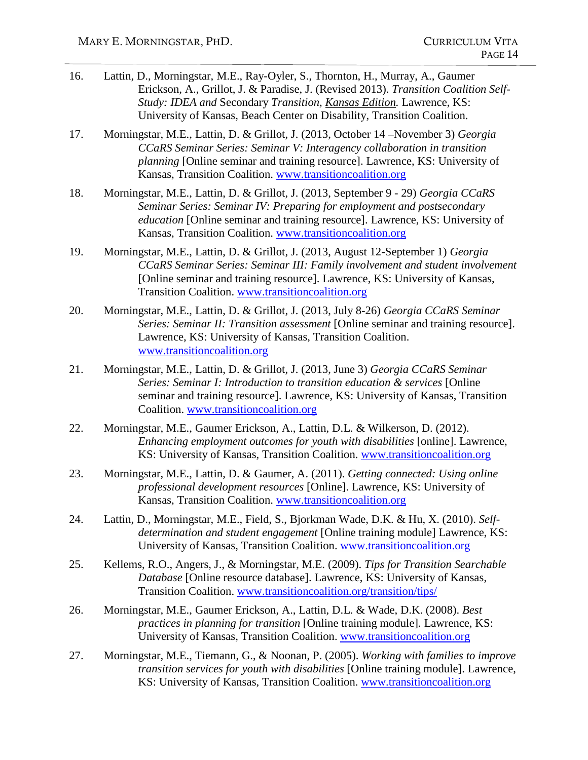- 16. Lattin, D., Morningstar, M.E., Ray-Oyler, S., Thornton, H., Murray, A., Gaumer Erickson, A., Grillot, J. & Paradise, J. (Revised 2013). *Transition Coalition Self-Study: IDEA and* Secondary *Transition, Kansas Edition.* Lawrence, KS: University of Kansas, Beach Center on Disability, Transition Coalition.
- 17. Morningstar, M.E., Lattin, D. & Grillot, J. (2013, October 14 –November 3) *Georgia CCaRS Seminar Series: Seminar V: Interagency collaboration in transition planning* [Online seminar and training resource]. Lawrence, KS: University of Kansas, Transition Coalition. [www.transitioncoalition.org](http://www.transitioncoalition.org/)
- 18. Morningstar, M.E., Lattin, D. & Grillot, J. (2013, September 9 29) *Georgia CCaRS Seminar Series: Seminar IV: Preparing for employment and postsecondary education* [Online seminar and training resource]. Lawrence, KS: University of Kansas, Transition Coalition. [www.transitioncoalition.org](http://www.transitioncoalition.org/)
- 19. Morningstar, M.E., Lattin, D. & Grillot, J. (2013, August 12-September 1) *Georgia CCaRS Seminar Series: Seminar III: Family involvement and student involvement*  [Online seminar and training resource]. Lawrence, KS: University of Kansas, Transition Coalition. [www.transitioncoalition.org](http://www.transitioncoalition.org/)
- 20. Morningstar, M.E., Lattin, D. & Grillot, J. (2013, July 8-26) *Georgia CCaRS Seminar Series: Seminar II: Transition assessment* [Online seminar and training resource]. Lawrence, KS: University of Kansas, Transition Coalition. [www.transitioncoalition.org](http://www.transitioncoalition.org/)
- 21. Morningstar, M.E., Lattin, D. & Grillot, J. (2013, June 3) *Georgia CCaRS Seminar Series: Seminar I: Introduction to transition education & services* [Online seminar and training resource]. Lawrence, KS: University of Kansas, Transition Coalition. [www.transitioncoalition.org](http://www.transitioncoalition.org/)
- 22. Morningstar, M.E., Gaumer Erickson, A., Lattin, D.L. & Wilkerson, D. (2012). *Enhancing employment outcomes for youth with disabilities* [online]. Lawrence, KS: University of Kansas, Transition Coalition. [www.transitioncoalition.org](http://www.transitioncoalition.org/)
- 23. Morningstar, M.E., Lattin, D. & Gaumer, A. (2011). *Getting connected: Using online professional development resources* [Online]. Lawrence, KS: University of Kansas, Transition Coalition. [www.transitioncoalition.org](http://www.transitioncoalition.org/)
- 24. Lattin, D., Morningstar, M.E., Field, S., Bjorkman Wade, D.K. & Hu, X. (2010). *Selfdetermination and student engagement* [Online training module] Lawrence, KS: University of Kansas, Transition Coalition. [www.transitioncoalition.org](http://www.transitioncoalition.org/)
- 25. Kellems, R.O., Angers, J., & Morningstar, M.E. (2009). *Tips for Transition Searchable Database* [Online resource database]. Lawrence, KS: University of Kansas, Transition Coalition. [www.transitioncoalition.org/transition/tips/](http://www.transitioncoalition.org/transition/tips/)
- 26. Morningstar, M.E., Gaumer Erickson, A., Lattin, D.L. & Wade, D.K. (2008). *Best practices in planning for transition* [Online training module]*.* Lawrence, KS: University of Kansas, Transition Coalition. [www.transitioncoalition.org](http://www.transitioncoalition.org/)
- 27. Morningstar, M.E., Tiemann, G., & Noonan, P. (2005). *Working with families to improve transition services for youth with disabilities* [Online training module]. Lawrence, KS: University of Kansas, Transition Coalition. [www.transitioncoalition.org](http://www.transitioncoalition.org/)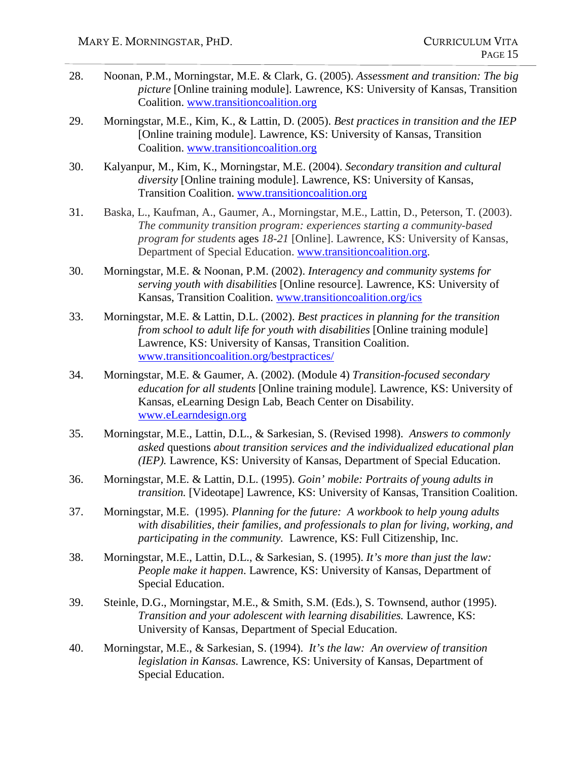- 28. Noonan, P.M., Morningstar, M.E. & Clark, G. (2005). *Assessment and transition: The big picture* [Online training module]. Lawrence, KS: University of Kansas, Transition Coalition. [www.transitioncoalition.org](http://www.transitioncoalition.org/)
- 29. Morningstar, M.E., Kim, K., & Lattin, D. (2005). *Best practices in transition and the IEP*  [Online training module]. Lawrence, KS: University of Kansas, Transition Coalition. [www.transitioncoalition.org](http://www.transitioncoalition.org/)
- 30. Kalyanpur, M., Kim, K., Morningstar, M.E. (2004). *Secondary transition and cultural diversity* [Online training module]. Lawrence, KS: University of Kansas, Transition Coalition. [www.transitioncoalition.org](http://www.transitioncoalition.org/)
- 31. Baska, L., Kaufman, A., Gaumer, A., Morningstar, M.E., Lattin, D., Peterson, T. (2003). *The community transition program: experiences starting a community-based program for students* ages *18-21* [Online]. Lawrence, KS: University of Kansas, Department of Special Education. www.transitioncoalition.org.
- 30. Morningstar, M.E. & Noonan, P.M. (2002). *Interagency and community systems for serving youth with disabilities* [Online resource]*.* Lawrence, KS: University of Kansas, Transition Coalition. [www.transitioncoalition.org/ics](http://www.transitioncoalition.org/ics)
- 33. Morningstar, M.E. & Lattin, D.L. (2002). *Best practices in planning for the transition from school to adult life for youth with disabilities* [Online training module] Lawrence, KS: University of Kansas, Transition Coalition. [www.transitioncoalition.org/bestpractices/](http://www.transitioncoalition.org/bestpractices/)
- 34. Morningstar, M.E. & Gaumer, A. (2002). (Module 4) *Transition-focused secondary education for all students* [Online training module]*.* Lawrence, KS: University of Kansas, eLearning Design Lab, Beach Center on Disability. [www.eLearndesign.org](http://www.elearndesign.org/)
- 35. Morningstar, M.E., Lattin, D.L., & Sarkesian, S. (Revised 1998). *Answers to commonly asked* questions *about transition services and the individualized educational plan (IEP).* Lawrence, KS: University of Kansas, Department of Special Education.
- 36. Morningstar, M.E. & Lattin, D.L. (1995). *Goin' mobile: Portraits of young adults in transition.* [Videotape] Lawrence, KS: University of Kansas, Transition Coalition.
- 37. Morningstar, M.E. (1995). *Planning for the future: A workbook to help young adults with disabilities, their families, and professionals to plan for living, working, and participating in the community.* Lawrence, KS: Full Citizenship, Inc.
- 38. Morningstar, M.E., Lattin, D.L., & Sarkesian, S. (1995). *It's more than just the law: People make it happen*. Lawrence, KS: University of Kansas, Department of Special Education.
- 39. Steinle, D.G., Morningstar, M.E., & Smith, S.M. (Eds.), S. Townsend, author (1995). *Transition and your adolescent with learning disabilities.* Lawrence, KS: University of Kansas, Department of Special Education.
- 40. Morningstar, M.E., & Sarkesian, S. (1994). *It's the law: An overview of transition legislation in Kansas.* Lawrence, KS: University of Kansas, Department of Special Education.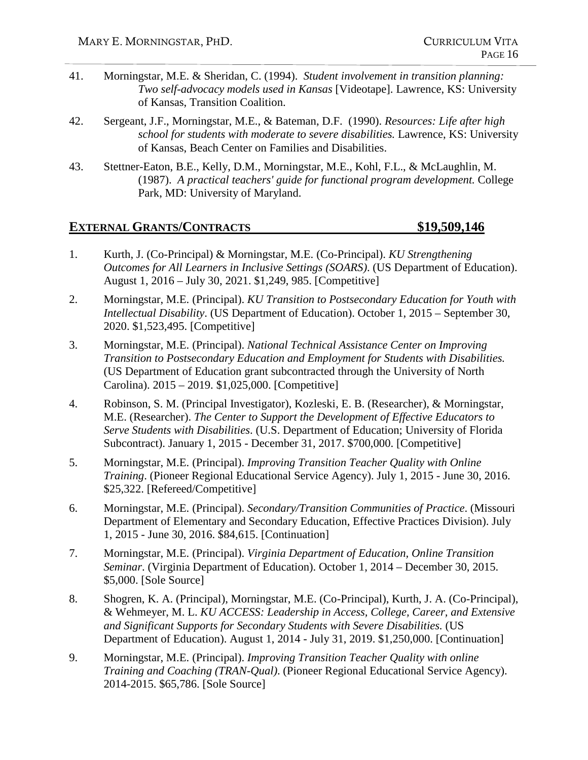- 41. Morningstar, M.E. & Sheridan, C. (1994). *Student involvement in transition planning: Two self-advocacy models used in Kansas* [Videotape]. Lawrence, KS: University of Kansas, Transition Coalition.
- 42. Sergeant, J.F., Morningstar, M.E., & Bateman, D.F. (1990). *Resources: Life after high school for students with moderate to severe disabilities.* Lawrence, KS: University of Kansas, Beach Center on Families and Disabilities.
- 43. Stettner-Eaton, B.E., Kelly, D.M., Morningstar, M.E., Kohl, F.L., & McLaughlin, M. (1987). *A practical teachers' guide for functional program development.* College Park, MD: University of Maryland.

#### **EXTERNAL GRANTS/CONTRACTS \$19,509,146**

- 1. Kurth, J. (Co-Principal) & Morningstar, M.E. (Co-Principal). *KU Strengthening Outcomes for All Learners in Inclusive Settings (SOARS)*. (US Department of Education). August 1, 2016 – July 30, 2021. \$1,249, 985. [Competitive]
- 2. Morningstar, M.E. (Principal). *KU Transition to Postsecondary Education for Youth with Intellectual Disability*. (US Department of Education). October 1, 2015 – September 30, 2020. \$1,523,495. [Competitive]
- 3. Morningstar, M.E. (Principal). *National Technical Assistance Center on Improving Transition to Postsecondary Education and Employment for Students with Disabilities.*  (US Department of Education grant subcontracted through the University of North Carolina). 2015 – 2019. \$1,025,000. [Competitive]
- 4. Robinson, S. M. (Principal Investigator), Kozleski, E. B. (Researcher), & Morningstar, M.E. (Researcher). *The Center to Support the Development of Effective Educators to Serve Students with Disabilities*. (U.S. Department of Education; University of Florida Subcontract). January 1, 2015 - December 31, 2017. \$700,000. [Competitive]
- 5. Morningstar, M.E. (Principal). *Improving Transition Teacher Quality with Online Training*. (Pioneer Regional Educational Service Agency). July 1, 2015 - June 30, 2016. \$25,322. [Refereed/Competitive]
- 6. Morningstar, M.E. (Principal). *Secondary/Transition Communities of Practice*. (Missouri Department of Elementary and Secondary Education, Effective Practices Division). July 1, 2015 - June 30, 2016. \$84,615. [Continuation]
- 7. Morningstar, M.E. (Principal). *Virginia Department of Education, Online Transition Seminar*. (Virginia Department of Education). October 1, 2014 – December 30, 2015. \$5,000. [Sole Source]
- 8. Shogren, K. A. (Principal), Morningstar, M.E. (Co-Principal), Kurth, J. A. (Co-Principal), & Wehmeyer, M. L. *KU ACCESS: Leadership in Access, College, Career, and Extensive and Significant Supports for Secondary Students with Severe Disabilities.* (US Department of Education). August 1, 2014 - July 31, 2019. \$1,250,000. [Continuation]
- 9. Morningstar, M.E. (Principal). *Improving Transition Teacher Quality with online Training and Coaching (TRAN-Qual)*. (Pioneer Regional Educational Service Agency). 2014-2015. \$65,786. [Sole Source]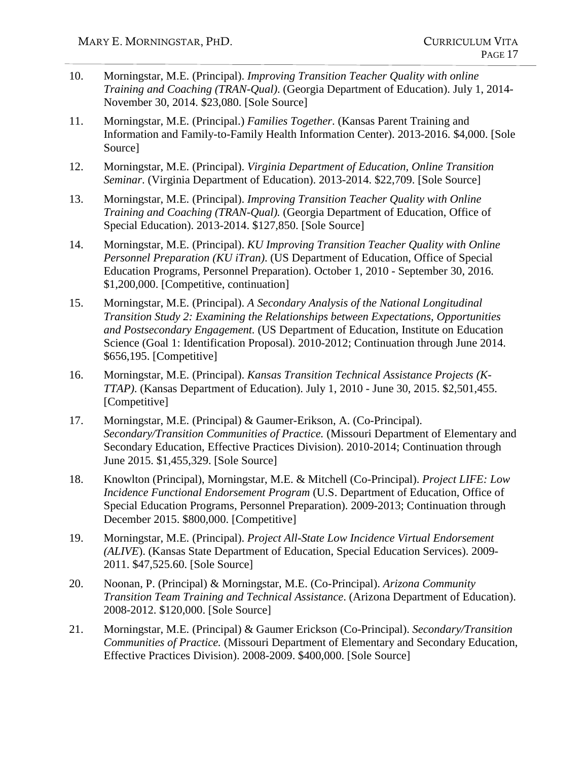- 10. Morningstar, M.E. (Principal). *Improving Transition Teacher Quality with online Training and Coaching (TRAN-Qual)*. (Georgia Department of Education). July 1, 2014- November 30, 2014. \$23,080. [Sole Source]
- 11. Morningstar, M.E. (Principal.) *Families Together*. (Kansas Parent Training and Information and Family-to-Family Health Information Center). 2013-2016. \$4,000. [Sole Source]
- 12. Morningstar, M.E. (Principal). *Virginia Department of Education, Online Transition Seminar*. (Virginia Department of Education). 2013-2014. \$22,709. [Sole Source]
- 13. Morningstar, M.E. (Principal). *Improving Transition Teacher Quality with Online Training and Coaching (TRAN-Qual).* (Georgia Department of Education, Office of Special Education). 2013-2014. \$127,850. [Sole Source]
- 14. Morningstar, M.E. (Principal). *KU Improving Transition Teacher Quality with Online Personnel Preparation (KU iTran)*. (US Department of Education, Office of Special Education Programs, Personnel Preparation). October 1, 2010 - September 30, 2016. \$1,200,000. [Competitive, continuation]
- 15. Morningstar, M.E. (Principal). *A Secondary Analysis of the National Longitudinal Transition Study 2: Examining the Relationships between Expectations, Opportunities and Postsecondary Engagement.* (US Department of Education, Institute on Education Science (Goal 1: Identification Proposal). 2010-2012; Continuation through June 2014. \$656,195. [Competitive]
- 16. Morningstar, M.E. (Principal). *Kansas Transition Technical Assistance Projects (K-TTAP)*. (Kansas Department of Education). July 1, 2010 - June 30, 2015. \$2,501,455. [Competitive]
- 17. Morningstar, M.E. (Principal) & Gaumer-Erikson, A. (Co-Principal). *Secondary/Transition Communities of Practice.* (Missouri Department of Elementary and Secondary Education, Effective Practices Division). 2010-2014; Continuation through June 2015. \$1,455,329. [Sole Source]
- 18. Knowlton (Principal), Morningstar, M.E. & Mitchell (Co-Principal). *Project LIFE: Low Incidence Functional Endorsement Program* (U.S. Department of Education, Office of Special Education Programs, Personnel Preparation). 2009-2013; Continuation through December 2015. \$800,000. [Competitive]
- 19. Morningstar, M.E. (Principal). *Project All-State Low Incidence Virtual Endorsement (ALIVE*). (Kansas State Department of Education, Special Education Services). 2009- 2011. \$47,525.60. [Sole Source]
- 20. Noonan, P. (Principal) & Morningstar, M.E. (Co-Principal). *Arizona Community Transition Team Training and Technical Assistance*. (Arizona Department of Education). 2008-2012. \$120,000. [Sole Source]
- 21. Morningstar, M.E. (Principal) & Gaumer Erickson (Co-Principal). *Secondary/Transition Communities of Practice.* (Missouri Department of Elementary and Secondary Education, Effective Practices Division). 2008-2009. \$400,000. [Sole Source]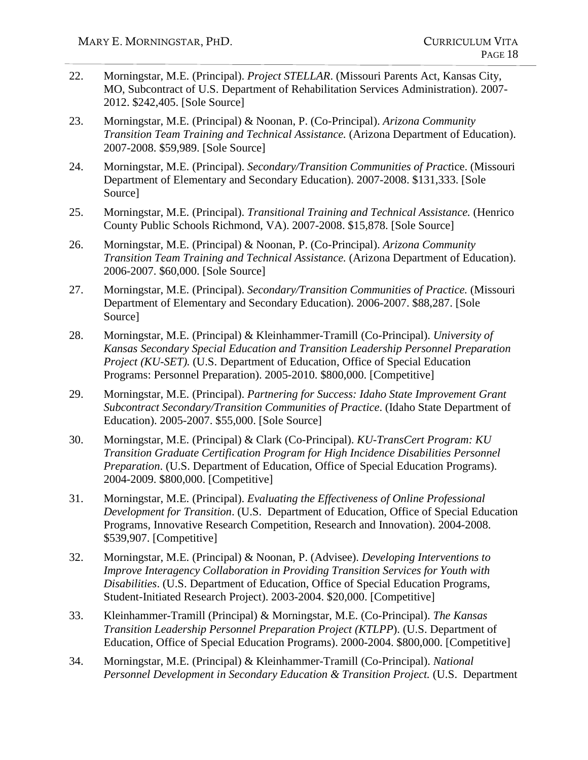- 22. Morningstar, M.E. (Principal). *Project STELLAR*. (Missouri Parents Act, Kansas City, MO, Subcontract of U.S. Department of Rehabilitation Services Administration). 2007- 2012. \$242,405. [Sole Source]
- 23. Morningstar, M.E. (Principal) & Noonan, P. (Co-Principal). *Arizona Community Transition Team Training and Technical Assistance.* (Arizona Department of Education). 2007-2008. \$59,989. [Sole Source]
- 24. Morningstar, M.E. (Principal). *Secondary/Transition Communities of Pract*ice. (Missouri Department of Elementary and Secondary Education). 2007-2008. \$131,333. [Sole Source]
- 25. Morningstar, M.E. (Principal). *Transitional Training and Technical Assistance.* (Henrico County Public Schools Richmond, VA). 2007-2008. \$15,878. [Sole Source]
- 26. Morningstar, M.E. (Principal) & Noonan, P. (Co-Principal). *Arizona Community Transition Team Training and Technical Assistance.* (Arizona Department of Education). 2006-2007. \$60,000. [Sole Source]
- 27. Morningstar, M.E. (Principal). *Secondary/Transition Communities of Practice.* (Missouri Department of Elementary and Secondary Education). 2006-2007. \$88,287. [Sole Source]
- 28. Morningstar, M.E. (Principal) & Kleinhammer-Tramill (Co-Principal). *University of Kansas Secondary Special Education and Transition Leadership Personnel Preparation Project (KU-SET).* (U.S. Department of Education, Office of Special Education Programs: Personnel Preparation). 2005-2010. \$800,000. [Competitive]
- 29. Morningstar, M.E. (Principal). *Partnering for Success: Idaho State Improvement Grant Subcontract Secondary/Transition Communities of Practice*. (Idaho State Department of Education). 2005-2007. \$55,000. [Sole Source]
- 30. Morningstar, M.E. (Principal) & Clark (Co-Principal). *KU-TransCert Program: KU Transition Graduate Certification Program for High Incidence Disabilities Personnel Preparation*. (U.S. Department of Education, Office of Special Education Programs). 2004-2009. \$800,000. [Competitive]
- 31. Morningstar, M.E. (Principal). *Evaluating the Effectiveness of Online Professional Development for Transition*. (U.S. Department of Education, Office of Special Education Programs, Innovative Research Competition, Research and Innovation). 2004-2008. \$539,907. [Competitive]
- 32. Morningstar, M.E. (Principal) & Noonan, P. (Advisee). *Developing Interventions to Improve Interagency Collaboration in Providing Transition Services for Youth with Disabilities*. (U.S. Department of Education, Office of Special Education Programs, Student-Initiated Research Project). 2003-2004. \$20,000. [Competitive]
- 33. Kleinhammer-Tramill (Principal) & Morningstar, M.E. (Co-Principal). *The Kansas Transition Leadership Personnel Preparation Project (KTLPP*). (U.S. Department of Education, Office of Special Education Programs). 2000-2004. \$800,000. [Competitive]
- 34. Morningstar, M.E. (Principal) & Kleinhammer-Tramill (Co-Principal). *National Personnel Development in Secondary Education & Transition Project.* (U.S. Department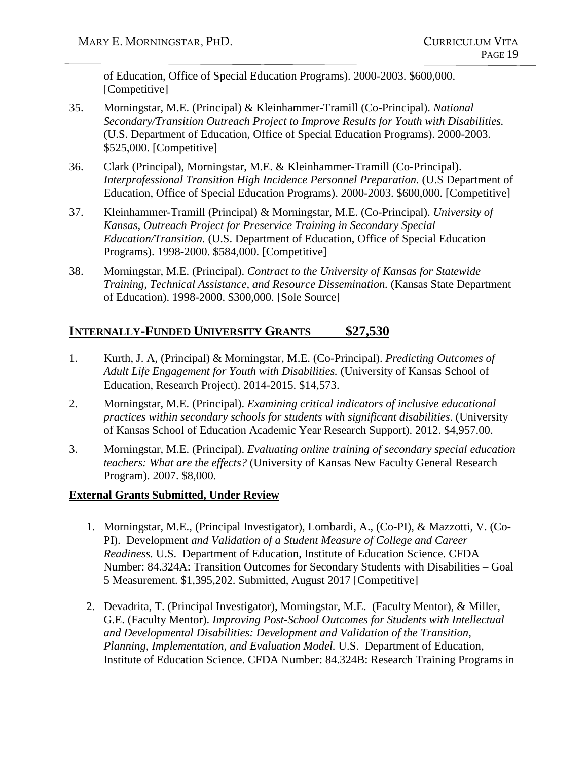of Education, Office of Special Education Programs). 2000-2003. \$600,000. [Competitive]

- 35. Morningstar, M.E. (Principal) & Kleinhammer-Tramill (Co-Principal). *National Secondary/Transition Outreach Project to Improve Results for Youth with Disabilities.* (U.S. Department of Education, Office of Special Education Programs). 2000-2003. \$525,000. [Competitive]
- 36. Clark (Principal), Morningstar, M.E. & Kleinhammer-Tramill (Co-Principal). *Interprofessional Transition High Incidence Personnel Preparation.* (U.S Department of Education, Office of Special Education Programs). 2000-2003. \$600,000. [Competitive]
- 37. Kleinhammer-Tramill (Principal) & Morningstar, M.E. (Co-Principal). *University of Kansas, Outreach Project for Preservice Training in Secondary Special Education/Transition.* (U.S. Department of Education, Office of Special Education Programs). 1998-2000. \$584,000. [Competitive]
- 38. Morningstar, M.E. (Principal). *Contract to the University of Kansas for Statewide Training, Technical Assistance, and Resource Dissemination.* (Kansas State Department of Education). 1998-2000. \$300,000. [Sole Source]

## **INTERNALLY-FUNDED UNIVERSITY GRANTS \$27,530**

- 1. Kurth, J. A, (Principal) & Morningstar, M.E. (Co-Principal). *Predicting Outcomes of Adult Life Engagement for Youth with Disabilities.* (University of Kansas School of Education, Research Project). 2014-2015. \$14,573.
- 2. Morningstar, M.E. (Principal). *Examining critical indicators of inclusive educational practices within secondary schools for students with significant disabilities*. (University of Kansas School of Education Academic Year Research Support). 2012. \$4,957.00.
- 3. Morningstar, M.E. (Principal). *Evaluating online training of secondary special education teachers: What are the effects?* (University of Kansas New Faculty General Research Program). 2007. \$8,000.

#### **External Grants Submitted, Under Review**

- 1. Morningstar, M.E., (Principal Investigator), Lombardi, A., (Co-PI), & Mazzotti, V. (Co-PI). Development *and Validation of a Student Measure of College and Career Readiness.* U.S. Department of Education, Institute of Education Science. CFDA Number: 84.324A: Transition Outcomes for Secondary Students with Disabilities – Goal 5 Measurement. \$1,395,202. Submitted, August 2017 [Competitive]
- 2. Devadrita, T. (Principal Investigator), Morningstar, M.E. (Faculty Mentor), & Miller, G.E. (Faculty Mentor). *Improving Post-School Outcomes for Students with Intellectual and Developmental Disabilities: Development and Validation of the Transition, Planning, Implementation, and Evaluation Model.* U.S. Department of Education, Institute of Education Science. CFDA Number: 84.324B: Research Training Programs in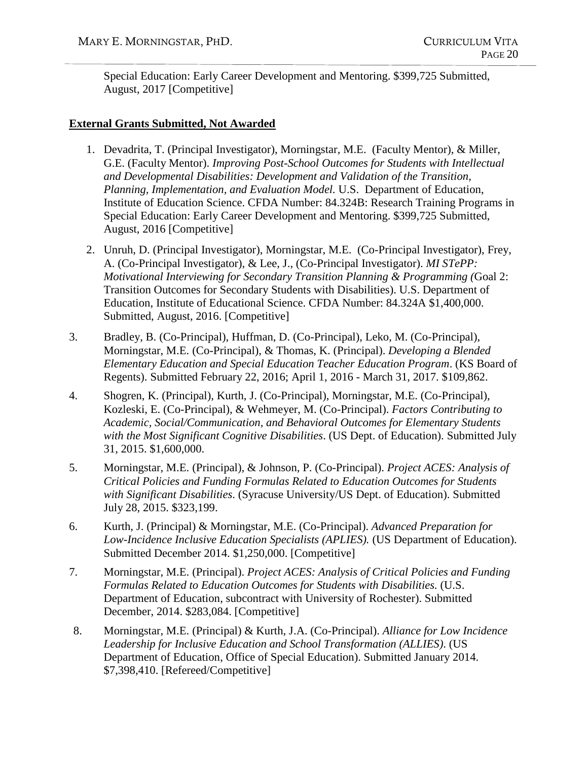Special Education: Early Career Development and Mentoring. \$399,725 Submitted, August, 2017 [Competitive]

#### **External Grants Submitted, Not Awarded**

- 1. Devadrita, T. (Principal Investigator), Morningstar, M.E. (Faculty Mentor), & Miller, G.E. (Faculty Mentor). *Improving Post-School Outcomes for Students with Intellectual and Developmental Disabilities: Development and Validation of the Transition, Planning, Implementation, and Evaluation Model.* U.S. Department of Education, Institute of Education Science. CFDA Number: 84.324B: Research Training Programs in Special Education: Early Career Development and Mentoring. \$399,725 Submitted, August, 2016 [Competitive]
- 2. Unruh, D. (Principal Investigator), Morningstar, M.E. (Co-Principal Investigator), Frey, A. (Co-Principal Investigator), & Lee, J., (Co-Principal Investigator). *MI STePP: Motivational Interviewing for Secondary Transition Planning & Programming (*Goal 2: Transition Outcomes for Secondary Students with Disabilities). U.S. Department of Education, Institute of Educational Science. CFDA Number: 84.324A \$1,400,000. Submitted, August, 2016. [Competitive]
- 3. Bradley, B. (Co-Principal), Huffman, D. (Co-Principal), Leko, M. (Co-Principal), Morningstar, M.E. (Co-Principal), & Thomas, K. (Principal). *Developing a Blended Elementary Education and Special Education Teacher Education Program*. (KS Board of Regents). Submitted February 22, 2016; April 1, 2016 - March 31, 2017. \$109,862.
- 4. Shogren, K. (Principal), Kurth, J. (Co-Principal), Morningstar, M.E. (Co-Principal), Kozleski, E. (Co-Principal), & Wehmeyer, M. (Co-Principal). *Factors Contributing to Academic, Social/Communication, and Behavioral Outcomes for Elementary Students with the Most Significant Cognitive Disabilities*. (US Dept. of Education). Submitted July 31, 2015. \$1,600,000.
- 5. Morningstar, M.E. (Principal), & Johnson, P. (Co-Principal). *Project ACES: Analysis of Critical Policies and Funding Formulas Related to Education Outcomes for Students with Significant Disabilities*. (Syracuse University/US Dept. of Education). Submitted July 28, 2015. \$323,199.
- 6. Kurth, J. (Principal) & Morningstar, M.E. (Co-Principal). *Advanced Preparation for Low-Incidence Inclusive Education Specialists (APLIES).* (US Department of Education). Submitted December 2014. \$1,250,000. [Competitive]
- 7. Morningstar, M.E. (Principal). *Project ACES: Analysis of Critical Policies and Funding Formulas Related to Education Outcomes for Students with Disabilities.* (U.S. Department of Education, subcontract with University of Rochester). Submitted December, 2014. \$283,084. [Competitive]
- 8. Morningstar, M.E. (Principal) & Kurth, J.A. (Co-Principal). *Alliance for Low Incidence Leadership for Inclusive Education and School Transformation (ALLIES)*. (US Department of Education, Office of Special Education). Submitted January 2014. \$7,398,410. [Refereed/Competitive]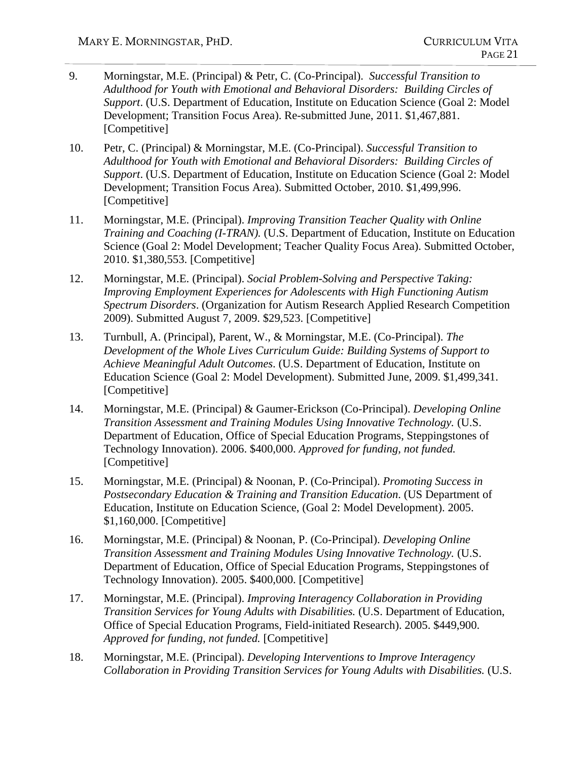- 9. Morningstar, M.E. (Principal) & Petr, C. (Co-Principal). *Successful Transition to Adulthood for Youth with Emotional and Behavioral Disorders: Building Circles of Support*. (U.S. Department of Education, Institute on Education Science (Goal 2: Model Development; Transition Focus Area). Re-submitted June, 2011. \$1,467,881. [Competitive]
- 10. Petr, C. (Principal) & Morningstar, M.E. (Co-Principal). *Successful Transition to Adulthood for Youth with Emotional and Behavioral Disorders: Building Circles of Support*. (U.S. Department of Education, Institute on Education Science (Goal 2: Model Development; Transition Focus Area). Submitted October, 2010. \$1,499,996. [Competitive]
- 11. Morningstar, M.E. (Principal). *Improving Transition Teacher Quality with Online Training and Coaching (I-TRAN).* (U.S. Department of Education, Institute on Education Science (Goal 2: Model Development; Teacher Quality Focus Area). Submitted October, 2010. \$1,380,553. [Competitive]
- 12. Morningstar, M.E. (Principal). *Social Problem-Solving and Perspective Taking: Improving Employment Experiences for Adolescents with High Functioning Autism Spectrum Disorders*. (Organization for Autism Research Applied Research Competition 2009). Submitted August 7, 2009. \$29,523. [Competitive]
- 13. Turnbull, A. (Principal), Parent, W., & Morningstar, M.E. (Co-Principal). *The Development of the Whole Lives Curriculum Guide: Building Systems of Support to Achieve Meaningful Adult Outcomes*. (U.S. Department of Education, Institute on Education Science (Goal 2: Model Development). Submitted June, 2009. \$1,499,341. [Competitive]
- 14. Morningstar, M.E. (Principal) & Gaumer-Erickson (Co-Principal). *Developing Online Transition Assessment and Training Modules Using Innovative Technology.* (U.S. Department of Education, Office of Special Education Programs, Steppingstones of Technology Innovation). 2006. \$400,000. *Approved for funding, not funded.* [Competitive]
- 15. Morningstar, M.E. (Principal) & Noonan, P. (Co-Principal). *Promoting Success in Postsecondary Education & Training and Transition Education*. (US Department of Education, Institute on Education Science, (Goal 2: Model Development). 2005. \$1,160,000. [Competitive]
- 16. Morningstar, M.E. (Principal) & Noonan, P. (Co-Principal). *Developing Online Transition Assessment and Training Modules Using Innovative Technology.* (U.S. Department of Education, Office of Special Education Programs, Steppingstones of Technology Innovation). 2005. \$400,000. [Competitive]
- 17. Morningstar, M.E. (Principal). *Improving Interagency Collaboration in Providing Transition Services for Young Adults with Disabilities.* (U.S. Department of Education, Office of Special Education Programs, Field-initiated Research). 2005. \$449,900. *Approved for funding, not funded.* [Competitive]
- 18. Morningstar, M.E. (Principal). *Developing Interventions to Improve Interagency Collaboration in Providing Transition Services for Young Adults with Disabilities.* (U.S.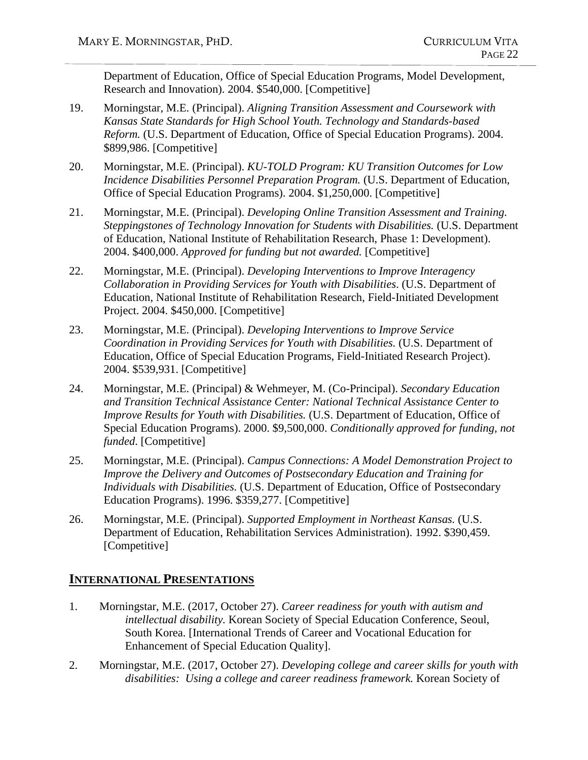Department of Education, Office of Special Education Programs, Model Development, Research and Innovation). 2004. \$540,000. [Competitive]

- 19. Morningstar, M.E. (Principal). *Aligning Transition Assessment and Coursework with Kansas State Standards for High School Youth. Technology and Standards-based Reform.* (U.S. Department of Education, Office of Special Education Programs). 2004. \$899,986. [Competitive]
- 20. Morningstar, M.E. (Principal). *KU-TOLD Program: KU Transition Outcomes for Low Incidence Disabilities Personnel Preparation Program.* (U.S. Department of Education, Office of Special Education Programs). 2004. \$1,250,000. [Competitive]
- 21. Morningstar, M.E. (Principal). *Developing Online Transition Assessment and Training. Steppingstones of Technology Innovation for Students with Disabilities.* (U.S. Department of Education, National Institute of Rehabilitation Research, Phase 1: Development). 2004. \$400,000. *Approved for funding but not awarded.* [Competitive]
- 22. Morningstar, M.E. (Principal). *Developing Interventions to Improve Interagency Collaboration in Providing Services for Youth with Disabilities*. (U.S. Department of Education, National Institute of Rehabilitation Research, Field-Initiated Development Project. 2004. \$450,000. [Competitive]
- 23. Morningstar, M.E. (Principal). *Developing Interventions to Improve Service Coordination in Providing Services for Youth with Disabilities.* (U.S. Department of Education, Office of Special Education Programs, Field-Initiated Research Project). 2004. \$539,931. [Competitive]
- 24. Morningstar, M.E. (Principal) & Wehmeyer, M. (Co-Principal). *Secondary Education and Transition Technical Assistance Center: National Technical Assistance Center to Improve Results for Youth with Disabilities.* (U.S. Department of Education, Office of Special Education Programs). 2000. \$9,500,000. *Conditionally approved for funding, not funded*. [Competitive]
- 25. Morningstar, M.E. (Principal). *Campus Connections: A Model Demonstration Project to Improve the Delivery and Outcomes of Postsecondary Education and Training for Individuals with Disabilities.* (U.S. Department of Education, Office of Postsecondary Education Programs). 1996. \$359,277. [Competitive]
- 26. Morningstar, M.E. (Principal). *Supported Employment in Northeast Kansas.* (U.S. Department of Education, Rehabilitation Services Administration). 1992. \$390,459. [Competitive]

## **INTERNATIONAL PRESENTATIONS**

- 1. Morningstar, M.E. (2017, October 27). *Career readiness for youth with autism and intellectual disability.* Korean Society of Special Education Conference, Seoul, South Korea. [International Trends of Career and Vocational Education for Enhancement of Special Education Quality].
- 2. Morningstar, M.E. (2017, October 27). *Developing college and career skills for youth with disabilities: Using a college and career readiness framework.* Korean Society of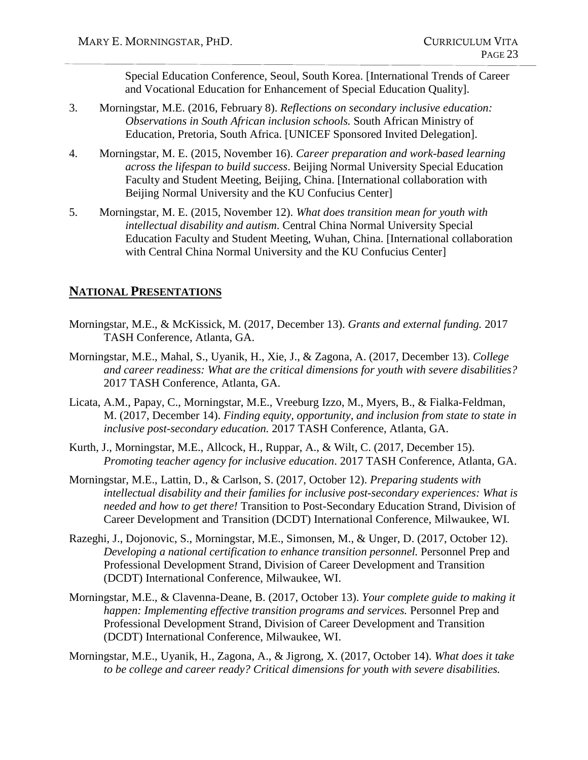Special Education Conference, Seoul, South Korea. [International Trends of Career and Vocational Education for Enhancement of Special Education Quality].

- 3. Morningstar, M.E. (2016, February 8). *Reflections on secondary inclusive education: Observations in South African inclusion schools.* South African Ministry of Education, Pretoria, South Africa. [UNICEF Sponsored Invited Delegation].
- 4. Morningstar, M. E. (2015, November 16). *Career preparation and work-based learning across the lifespan to build success*. Beijing Normal University Special Education Faculty and Student Meeting, Beijing, China. [International collaboration with Beijing Normal University and the KU Confucius Center]
- 5. Morningstar, M. E. (2015, November 12). *What does transition mean for youth with intellectual disability and autism*. Central China Normal University Special Education Faculty and Student Meeting, Wuhan, China. [International collaboration with Central China Normal University and the KU Confucius Center]

#### **NATIONAL PRESENTATIONS**

- Morningstar, M.E., & McKissick, M. (2017, December 13). *Grants and external funding.* 2017 TASH Conference, Atlanta, GA.
- Morningstar, M.E., Mahal, S., Uyanik, H., Xie, J., & Zagona, A. (2017, December 13). *College and career readiness: What are the critical dimensions for youth with severe disabilities?* 2017 TASH Conference, Atlanta, GA.
- Licata, A.M., Papay, C., Morningstar, M.E., Vreeburg Izzo, M., Myers, B., & Fialka-Feldman, M. (2017, December 14). *Finding equity, opportunity, and inclusion from state to state in inclusive post-secondary education.* 2017 TASH Conference, Atlanta, GA.
- Kurth, J., Morningstar, M.E., Allcock, H., Ruppar, A., & Wilt, C. (2017, December 15). *Promoting teacher agency for inclusive education*. 2017 TASH Conference, Atlanta, GA.
- Morningstar, M.E., Lattin, D., & Carlson, S. (2017, October 12). *Preparing students with intellectual disability and their families for inclusive post-secondary experiences: What is needed and how to get there!* Transition to Post-Secondary Education Strand, Division of Career Development and Transition (DCDT) International Conference, Milwaukee, WI.
- Razeghi, J., Dojonovic, S., Morningstar, M.E., Simonsen, M., & Unger, D. (2017, October 12). *Developing a national certification to enhance transition personnel.* Personnel Prep and Professional Development Strand, Division of Career Development and Transition (DCDT) International Conference, Milwaukee, WI.
- Morningstar, M.E., & Clavenna-Deane, B. (2017, October 13). *Your complete guide to making it happen: Implementing effective transition programs and services.* Personnel Prep and Professional Development Strand, Division of Career Development and Transition (DCDT) International Conference, Milwaukee, WI.
- Morningstar, M.E., Uyanik, H., Zagona, A., & Jigrong, X. (2017, October 14). *What does it take to be college and career ready? Critical dimensions for youth with severe disabilities.*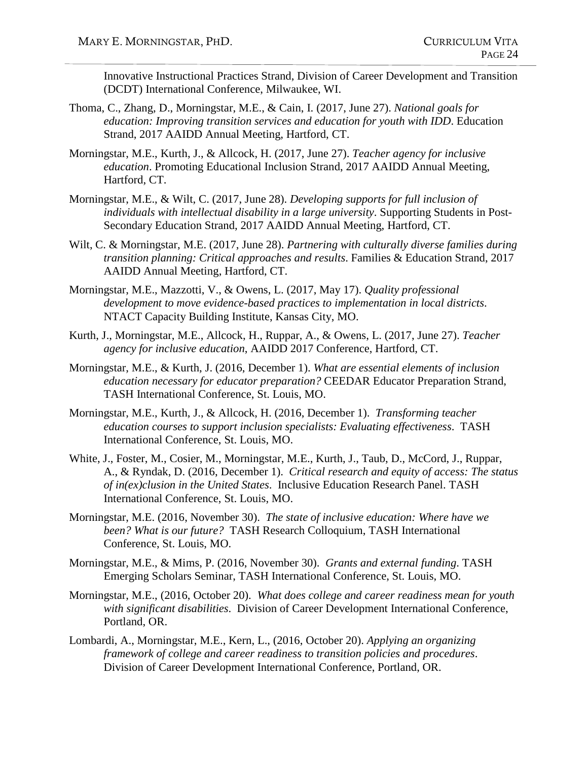Innovative Instructional Practices Strand, Division of Career Development and Transition (DCDT) International Conference, Milwaukee, WI.

- Thoma, C., Zhang, D., Morningstar, M.E., & Cain, I. (2017, June 27). *National goals for education: Improving transition services and education for youth with IDD*. Education Strand, 2017 AAIDD Annual Meeting, Hartford, CT.
- Morningstar, M.E., Kurth, J., & Allcock, H. (2017, June 27). *Teacher agency for inclusive education*. Promoting Educational Inclusion Strand, 2017 AAIDD Annual Meeting, Hartford, CT.
- Morningstar, M.E., & Wilt, C. (2017, June 28). *Developing supports for full inclusion of individuals with intellectual disability in a large university*. Supporting Students in Post-Secondary Education Strand, 2017 AAIDD Annual Meeting, Hartford, CT.
- Wilt, C. & Morningstar, M.E. (2017, June 28). *Partnering with culturally diverse families during transition planning: Critical approaches and results*. Families & Education Strand, 2017 AAIDD Annual Meeting, Hartford, CT.
- Morningstar, M.E., Mazzotti, V., & Owens, L. (2017, May 17). *Quality professional development to move evidence-based practices to implementation in local districts*. NTACT Capacity Building Institute, Kansas City, MO.
- Kurth, J., Morningstar, M.E., Allcock, H., Ruppar, A., & Owens, L. (2017, June 27). *Teacher agency for inclusive education*, AAIDD 2017 Conference, Hartford, CT.
- Morningstar, M.E., & Kurth, J. (2016, December 1). *What are essential elements of inclusion education necessary for educator preparation?* CEEDAR Educator Preparation Strand, TASH International Conference, St. Louis, MO.
- Morningstar, M.E., Kurth, J., & Allcock, H. (2016, December 1). *Transforming teacher education courses to support inclusion specialists: Evaluating effectiveness*. TASH International Conference, St. Louis, MO.
- White, J., Foster, M., Cosier, M., Morningstar, M.E., Kurth, J., Taub, D., McCord, J., Ruppar, A., & Ryndak, D. (2016, December 1). *Critical research and equity of access: The status of in(ex)clusion in the United States*. Inclusive Education Research Panel. TASH International Conference, St. Louis, MO.
- Morningstar, M.E. (2016, November 30). *The state of inclusive education: Where have we been? What is our future?* TASH Research Colloquium, TASH International Conference, St. Louis, MO.
- Morningstar, M.E., & Mims, P. (2016, November 30). *Grants and external funding*. TASH Emerging Scholars Seminar, TASH International Conference, St. Louis, MO.
- Morningstar, M.E., (2016, October 20). *What does college and career readiness mean for youth with significant disabilities*. Division of Career Development International Conference, Portland, OR.
- Lombardi, A., Morningstar, M.E., Kern, L., (2016, October 20). *Applying an organizing framework of college and career readiness to transition policies and procedures*. Division of Career Development International Conference, Portland, OR.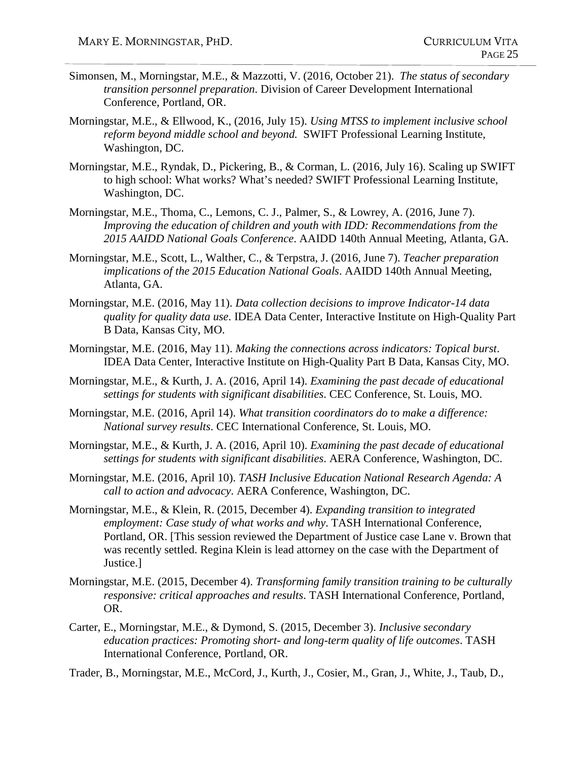- Simonsen, M., Morningstar, M.E., & Mazzotti, V. (2016, October 21). *The status of secondary transition personnel preparation*. Division of Career Development International Conference, Portland, OR.
- Morningstar, M.E., & Ellwood, K., (2016, July 15). *Using MTSS to implement inclusive school reform beyond middle school and beyond.* SWIFT Professional Learning Institute, Washington, DC.
- Morningstar, M.E., Ryndak, D., Pickering, B., & Corman, L. (2016, July 16). Scaling up SWIFT to high school: What works? What's needed? SWIFT Professional Learning Institute, Washington, DC.
- Morningstar, M.E., Thoma, C., Lemons, C. J., Palmer, S., & Lowrey, A. (2016, June 7). *Improving the education of children and youth with IDD: Recommendations from the 2015 AAIDD National Goals Conference*. AAIDD 140th Annual Meeting, Atlanta, GA.
- Morningstar, M.E., Scott, L., Walther, C., & Terpstra, J. (2016, June 7). *Teacher preparation implications of the 2015 Education National Goals*. AAIDD 140th Annual Meeting, Atlanta, GA.
- Morningstar, M.E. (2016, May 11). *Data collection decisions to improve Indicator-14 data quality for quality data use*. IDEA Data Center, Interactive Institute on High-Quality Part B Data, Kansas City, MO.
- Morningstar, M.E. (2016, May 11). *Making the connections across indicators: Topical burst*. IDEA Data Center, Interactive Institute on High-Quality Part B Data, Kansas City, MO.
- Morningstar, M.E., & Kurth, J. A. (2016, April 14). *Examining the past decade of educational settings for students with significant disabilities*. CEC Conference, St. Louis, MO.
- Morningstar, M.E. (2016, April 14). *What transition coordinators do to make a difference: National survey results*. CEC International Conference, St. Louis, MO.
- Morningstar, M.E., & Kurth, J. A. (2016, April 10). *Examining the past decade of educational settings for students with significant disabilities*. AERA Conference, Washington, DC.
- Morningstar, M.E. (2016, April 10). *TASH Inclusive Education National Research Agenda: A call to action and advocacy*. AERA Conference, Washington, DC.
- Morningstar, M.E., & Klein, R. (2015, December 4). *Expanding transition to integrated employment: Case study of what works and why*. TASH International Conference, Portland, OR. [This session reviewed the Department of Justice case Lane v. Brown that was recently settled. Regina Klein is lead attorney on the case with the Department of Justice.]
- Morningstar, M.E. (2015, December 4). *Transforming family transition training to be culturally responsive: critical approaches and results*. TASH International Conference, Portland, OR.
- Carter, E., Morningstar, M.E., & Dymond, S. (2015, December 3). *Inclusive secondary education practices: Promoting short- and long-term quality of life outcomes*. TASH International Conference, Portland, OR.
- Trader, B., Morningstar, M.E., McCord, J., Kurth, J., Cosier, M., Gran, J., White, J., Taub, D.,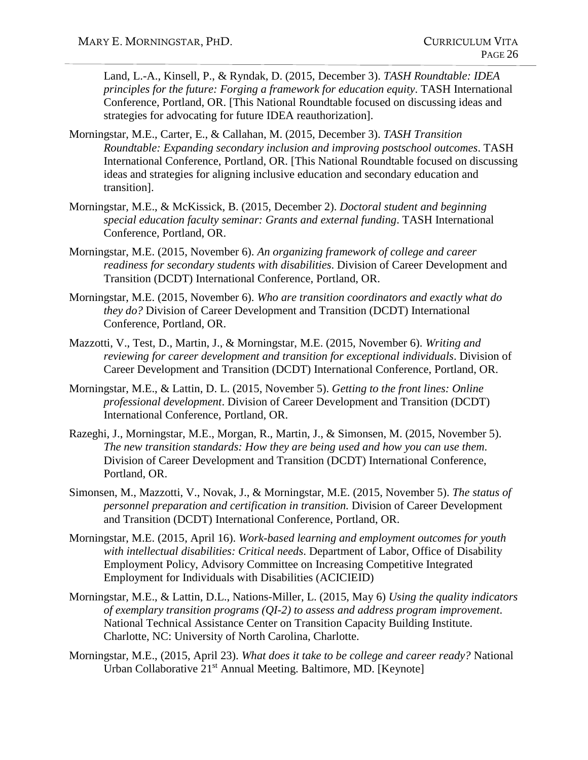Land, L.-A., Kinsell, P., & Ryndak, D. (2015, December 3). *TASH Roundtable: IDEA principles for the future: Forging a framework for education equity*. TASH International Conference, Portland, OR. [This National Roundtable focused on discussing ideas and strategies for advocating for future IDEA reauthorization].

- Morningstar, M.E., Carter, E., & Callahan, M. (2015, December 3). *TASH Transition Roundtable: Expanding secondary inclusion and improving postschool outcomes*. TASH International Conference, Portland, OR. [This National Roundtable focused on discussing ideas and strategies for aligning inclusive education and secondary education and transition].
- Morningstar, M.E., & McKissick, B. (2015, December 2). *Doctoral student and beginning special education faculty seminar: Grants and external funding*. TASH International Conference, Portland, OR.
- Morningstar, M.E. (2015, November 6). *An organizing framework of college and career readiness for secondary students with disabilities*. Division of Career Development and Transition (DCDT) International Conference, Portland, OR.
- Morningstar, M.E. (2015, November 6). *Who are transition coordinators and exactly what do they do?* Division of Career Development and Transition (DCDT) International Conference, Portland, OR.
- Mazzotti, V., Test, D., Martin, J., & Morningstar, M.E. (2015, November 6). *Writing and reviewing for career development and transition for exceptional individuals*. Division of Career Development and Transition (DCDT) International Conference, Portland, OR.
- Morningstar, M.E., & Lattin, D. L. (2015, November 5). *Getting to the front lines: Online professional development*. Division of Career Development and Transition (DCDT) International Conference, Portland, OR.
- Razeghi, J., Morningstar, M.E., Morgan, R., Martin, J., & Simonsen, M. (2015, November 5). *The new transition standards: How they are being used and how you can use them*. Division of Career Development and Transition (DCDT) International Conference, Portland, OR.
- Simonsen, M., Mazzotti, V., Novak, J., & Morningstar, M.E. (2015, November 5). *The status of personnel preparation and certification in transition.* Division of Career Development and Transition (DCDT) International Conference, Portland, OR.
- Morningstar, M.E. (2015, April 16). *Work-based learning and employment outcomes for youth with intellectual disabilities: Critical needs*. Department of Labor, Office of Disability Employment Policy, Advisory Committee on Increasing Competitive Integrated Employment for Individuals with Disabilities (ACICIEID)
- Morningstar, M.E., & Lattin, D.L., Nations-Miller, L. (2015, May 6) *Using the quality indicators of exemplary transition programs (QI-2) to assess and address program improvement*. National Technical Assistance Center on Transition Capacity Building Institute. Charlotte, NC: University of North Carolina, Charlotte.
- Morningstar, M.E., (2015, April 23). *What does it take to be college and career ready?* National Urban Collaborative 21<sup>st</sup> Annual Meeting. Baltimore, MD. [Keynote]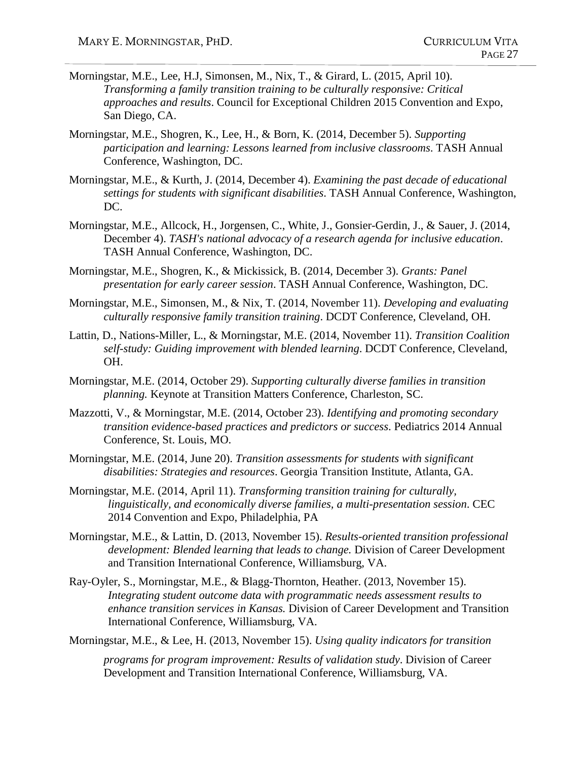- Morningstar, M.E., Lee, H.J, Simonsen, M., Nix, T., & Girard, L. (2015, April 10). *Transforming a family transition training to be culturally responsive: Critical approaches and results*. Council for Exceptional Children 2015 Convention and Expo, San Diego, CA.
- Morningstar, M.E., Shogren, K., Lee, H., & Born, K. (2014, December 5). *Supporting participation and learning: Lessons learned from inclusive classrooms*. TASH Annual Conference, Washington, DC.
- Morningstar, M.E., & Kurth, J. (2014, December 4). *Examining the past decade of educational settings for students with significant disabilities*. TASH Annual Conference, Washington, DC.
- Morningstar, M.E., Allcock, H., Jorgensen, C., White, J., Gonsier-Gerdin, J., & Sauer, J. (2014, December 4). *TASH's national advocacy of a research agenda for inclusive education*. TASH Annual Conference, Washington, DC.
- Morningstar, M.E., Shogren, K., & Mickissick, B. (2014, December 3). *Grants: Panel presentation for early career session*. TASH Annual Conference, Washington, DC.
- Morningstar, M.E., Simonsen, M., & Nix, T. (2014, November 11). *Developing and evaluating culturally responsive family transition training*. DCDT Conference, Cleveland, OH.
- Lattin, D., Nations-Miller, L., & Morningstar, M.E. (2014, November 11). *Transition Coalition self-study: Guiding improvement with blended learning*. DCDT Conference, Cleveland, OH.
- Morningstar, M.E. (2014, October 29). *Supporting culturally diverse families in transition planning.* Keynote at Transition Matters Conference, Charleston, SC.
- Mazzotti, V., & Morningstar, M.E. (2014, October 23). *Identifying and promoting secondary transition evidence-based practices and predictors or success*. Pediatrics 2014 Annual Conference, St. Louis, MO.
- Morningstar, M.E. (2014, June 20). *Transition assessments for students with significant disabilities: Strategies and resources*. Georgia Transition Institute, Atlanta, GA.
- Morningstar, M.E. (2014, April 11). *Transforming transition training for culturally, linguistically, and economically diverse families, a multi-presentation session*. CEC 2014 Convention and Expo, Philadelphia, PA
- Morningstar, M.E., & Lattin, D. (2013, November 15). *Results-oriented transition professional development: Blended learning that leads to change.* Division of Career Development and Transition International Conference, Williamsburg, VA.
- Ray-Oyler, S., Morningstar, M.E., & Blagg-Thornton, Heather. (2013, November 15). *Integrating student outcome data with programmatic needs assessment results to enhance transition services in Kansas.* Division of Career Development and Transition International Conference, Williamsburg, VA.

Morningstar, M.E., & Lee, H. (2013, November 15). *Using quality indicators for transition*

*programs for program improvement: Results of validation study*. Division of Career Development and Transition International Conference, Williamsburg, VA.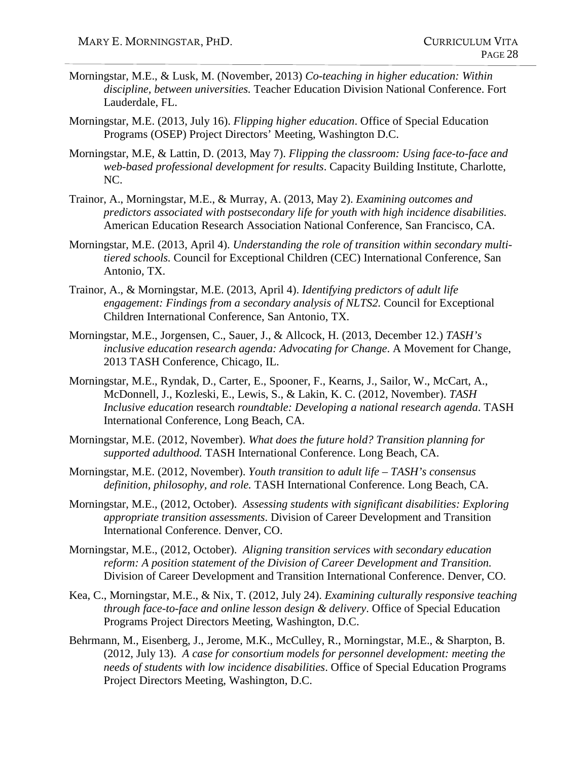- Morningstar, M.E., & Lusk, M. (November, 2013) *Co-teaching in higher education: Within discipline, between universities.* Teacher Education Division National Conference. Fort Lauderdale, FL.
- Morningstar, M.E. (2013, July 16). *Flipping higher education*. Office of Special Education Programs (OSEP) Project Directors' Meeting, Washington D.C.
- Morningstar, M.E, & Lattin, D. (2013, May 7). *Flipping the classroom: Using face-to-face and web-based professional development for results*. Capacity Building Institute, Charlotte, NC.
- Trainor, A., Morningstar, M.E., & Murray, A. (2013, May 2). *Examining outcomes and predictors associated with postsecondary life for youth with high incidence disabilities.* American Education Research Association National Conference, San Francisco, CA.
- Morningstar, M.E. (2013, April 4). *Understanding the role of transition within secondary multitiered schools.* Council for Exceptional Children (CEC) International Conference, San Antonio, TX.
- Trainor, A., & Morningstar, M.E. (2013, April 4). *Identifying predictors of adult life engagement: Findings from a secondary analysis of NLTS2.* Council for Exceptional Children International Conference, San Antonio, TX.
- Morningstar, M.E., Jorgensen, C., Sauer, J., & Allcock, H. (2013, December 12.) *TASH's inclusive education research agenda: Advocating for Change*. A Movement for Change, 2013 TASH Conference, Chicago, IL.
- Morningstar, M.E., Ryndak, D., Carter, E., Spooner, F., Kearns, J., Sailor, W., McCart, A., McDonnell, J., Kozleski, E., Lewis, S., & Lakin, K. C. (2012, November). *TASH Inclusive education* research *roundtable: Developing a national research agenda*. TASH International Conference, Long Beach, CA.
- Morningstar, M.E. (2012, November). *What does the future hold? Transition planning for supported adulthood.* TASH International Conference. Long Beach, CA.
- Morningstar, M.E. (2012, November). *Youth transition to adult life – TASH's consensus definition, philosophy, and role.* TASH International Conference. Long Beach, CA.
- Morningstar, M.E., (2012, October). *Assessing students with significant disabilities: Exploring appropriate transition assessments*. Division of Career Development and Transition International Conference. Denver, CO.
- Morningstar, M.E., (2012, October). *Aligning transition services with secondary education reform: A position statement of the Division of Career Development and Transition.* Division of Career Development and Transition International Conference. Denver, CO.
- Kea, C., Morningstar, M.E., & Nix, T. (2012, July 24). *Examining culturally responsive teaching through face-to-face and online lesson design & delivery*. Office of Special Education Programs Project Directors Meeting, Washington, D.C.
- Behrmann, M., Eisenberg, J., Jerome, M.K., McCulley, R., Morningstar, M.E., & Sharpton, B. (2012, July 13). *A case for consortium models for personnel development: meeting the needs of students with low incidence disabilities*. Office of Special Education Programs Project Directors Meeting, Washington, D.C.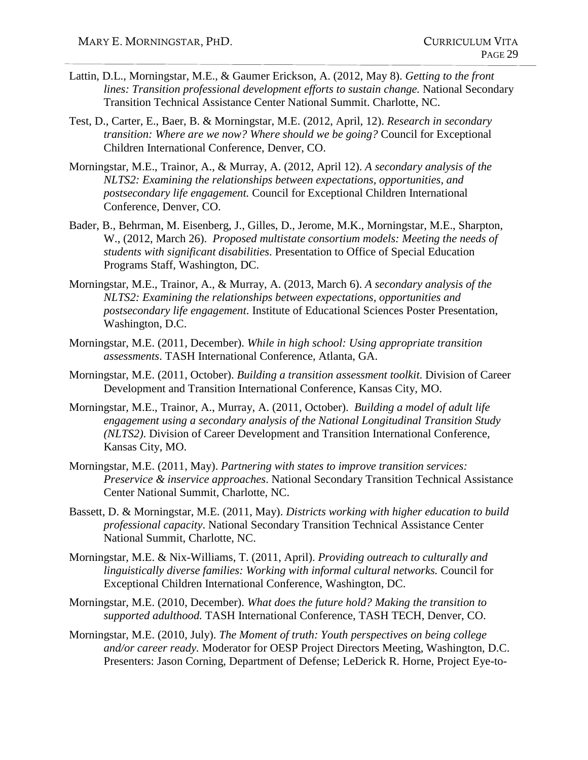- Lattin, D.L., Morningstar, M.E., & Gaumer Erickson, A. (2012, May 8). *Getting to the front lines: Transition professional development efforts to sustain change.* National Secondary Transition Technical Assistance Center National Summit. Charlotte, NC.
- Test, D., Carter, E., Baer, B. & Morningstar, M.E. (2012, April, 12). *Research in secondary transition: Where are we now? Where should we be going?* Council for Exceptional Children International Conference, Denver, CO.
- Morningstar, M.E., Trainor, A., & Murray, A. (2012, April 12). *A secondary analysis of the NLTS2: Examining the relationships between expectations, opportunities, and postsecondary life engagement.* Council for Exceptional Children International Conference, Denver, CO.
- Bader, B., Behrman, M. Eisenberg, J., Gilles, D., Jerome, M.K., Morningstar, M.E., Sharpton, W., (2012, March 26). *Proposed multistate consortium models: Meeting the needs of students with significant disabilities*. Presentation to Office of Special Education Programs Staff, Washington, DC.
- Morningstar, M.E., Trainor, A., & Murray, A. (2013, March 6). *A secondary analysis of the NLTS2: Examining the relationships between expectations, opportunities and postsecondary life engagement*. Institute of Educational Sciences Poster Presentation, Washington, D.C.
- Morningstar, M.E. (2011, December). *While in high school: Using appropriate transition assessments*. TASH International Conference, Atlanta, GA.
- Morningstar, M.E. (2011, October). *Building a transition assessment toolkit*. Division of Career Development and Transition International Conference, Kansas City, MO.
- Morningstar, M.E., Trainor, A., Murray, A. (2011, October). *Building a model of adult life engagement using a secondary analysis of the National Longitudinal Transition Study (NLTS2)*. Division of Career Development and Transition International Conference, Kansas City, MO.
- Morningstar, M.E. (2011, May). *Partnering with states to improve transition services: Preservice & inservice approaches*. National Secondary Transition Technical Assistance Center National Summit, Charlotte, NC.
- Bassett, D. & Morningstar, M.E. (2011, May). *Districts working with higher education to build professional capacity*. National Secondary Transition Technical Assistance Center National Summit, Charlotte, NC.
- Morningstar, M.E. & Nix-Williams, T. (2011, April). *Providing outreach to culturally and linguistically diverse families: Working with informal cultural networks.* Council for Exceptional Children International Conference, Washington, DC.
- Morningstar, M.E. (2010, December). *What does the future hold? Making the transition to supported adulthood.* TASH International Conference, TASH TECH, Denver, CO.
- Morningstar, M.E. (2010, July). *The Moment of truth: Youth perspectives on being college and/or career ready.* Moderator for OESP Project Directors Meeting, Washington, D.C. Presenters: Jason Corning, Department of Defense; LeDerick R. Horne, Project Eye-to-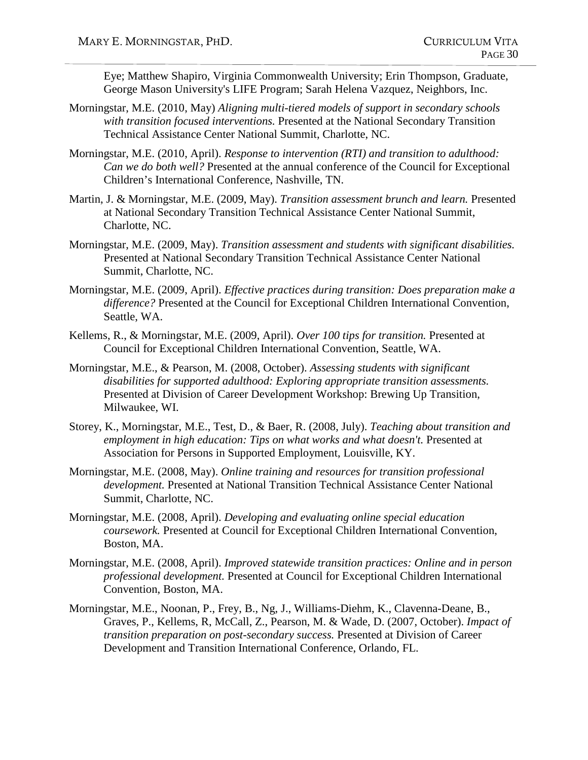Eye; Matthew Shapiro, Virginia Commonwealth University; Erin Thompson, Graduate, George Mason University's LIFE Program; Sarah Helena Vazquez, Neighbors, Inc.

- Morningstar, M.E. (2010, May) *Aligning multi-tiered models of support in secondary schools with transition focused interventions.* Presented at the National Secondary Transition Technical Assistance Center National Summit, Charlotte, NC.
- Morningstar, M.E. (2010, April). *Response to intervention (RTI) and transition to adulthood: Can we do both well?* Presented at the annual conference of the Council for Exceptional Children's International Conference, Nashville, TN.
- Martin, J. & Morningstar, M.E. (2009, May). *Transition assessment brunch and learn.* Presented at National Secondary Transition Technical Assistance Center National Summit, Charlotte, NC.
- Morningstar, M.E. (2009, May). *Transition assessment and students with significant disabilities.* Presented at National Secondary Transition Technical Assistance Center National Summit, Charlotte, NC.
- Morningstar, M.E. (2009, April). *Effective practices during transition: Does preparation make a difference?* Presented at the Council for Exceptional Children International Convention, Seattle, WA.
- Kellems, R., & Morningstar, M.E. (2009, April). *Over 100 tips for transition.* Presented at Council for Exceptional Children International Convention, Seattle, WA.
- Morningstar, M.E., & Pearson, M. (2008, October). *Assessing students with significant disabilities for supported adulthood: Exploring appropriate transition assessments.* Presented at Division of Career Development Workshop: Brewing Up Transition, Milwaukee, WI.
- Storey, K., Morningstar, M.E., Test, D., & Baer, R. (2008, July). *Teaching about transition and employment in high education: Tips on what works and what doesn't.* Presented at Association for Persons in Supported Employment, Louisville, KY.
- Morningstar, M.E. (2008, May). *Online training and resources for transition professional development.* Presented at National Transition Technical Assistance Center National Summit, Charlotte, NC.
- Morningstar, M.E. (2008, April). *Developing and evaluating online special education coursework.* Presented at Council for Exceptional Children International Convention, Boston, MA.
- Morningstar, M.E. (2008, April). *Improved statewide transition practices: Online and in person professional development.* Presented at Council for Exceptional Children International Convention, Boston, MA.
- Morningstar, M.E., Noonan, P., Frey, B., Ng, J., Williams-Diehm, K., Clavenna-Deane, B., Graves, P., Kellems, R, McCall, Z., Pearson, M. & Wade, D. (2007, October). *Impact of transition preparation on post-secondary success.* Presented at Division of Career Development and Transition International Conference, Orlando, FL.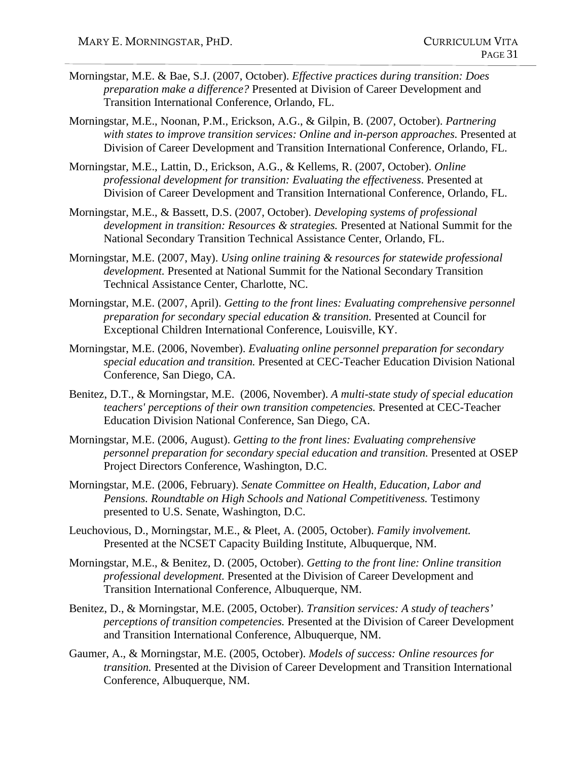- Morningstar, M.E. & Bae, S.J. (2007, October). *Effective practices during transition: Does preparation make a difference?* Presented at Division of Career Development and Transition International Conference, Orlando, FL.
- Morningstar, M.E., Noonan, P.M., Erickson, A.G., & Gilpin, B. (2007, October). *Partnering with states to improve transition services: Online and in-person approaches.* Presented at Division of Career Development and Transition International Conference, Orlando, FL.
- Morningstar, M.E., Lattin, D., Erickson, A.G., & Kellems, R. (2007, October). *Online professional development for transition: Evaluating the effectiveness*. Presented at Division of Career Development and Transition International Conference, Orlando, FL.
- Morningstar, M.E., & Bassett, D.S. (2007, October). *Developing systems of professional development in transition: Resources & strategies.* Presented at National Summit for the National Secondary Transition Technical Assistance Center, Orlando, FL.
- Morningstar, M.E. (2007, May). *Using online training & resources for statewide professional development.* Presented at National Summit for the National Secondary Transition Technical Assistance Center, Charlotte, NC.
- Morningstar, M.E. (2007, April). *Getting to the front lines: Evaluating comprehensive personnel preparation for secondary special education & transition.* Presented at Council for Exceptional Children International Conference, Louisville, KY.
- Morningstar, M.E. (2006, November). *Evaluating online personnel preparation for secondary special education and transition.* Presented at CEC-Teacher Education Division National Conference, San Diego, CA.
- Benitez, D.T., & Morningstar, M.E. (2006, November). *A multi-state study of special education teachers' perceptions of their own transition competencies.* Presented at CEC-Teacher Education Division National Conference, San Diego, CA.
- Morningstar, M.E. (2006, August). *Getting to the front lines: Evaluating comprehensive personnel preparation for secondary special education and transition.* Presented at OSEP Project Directors Conference, Washington, D.C.
- Morningstar, M.E. (2006, February). *Senate Committee on Health, Education, Labor and Pensions. Roundtable on High Schools and National Competitiveness.* Testimony presented to U.S. Senate, Washington, D.C.
- Leuchovious, D., Morningstar, M.E., & Pleet, A. (2005, October). *Family involvement.* Presented at the NCSET Capacity Building Institute, Albuquerque, NM.
- Morningstar, M.E., & Benitez, D. (2005, October). *Getting to the front line: Online transition professional development.* Presented at the Division of Career Development and Transition International Conference, Albuquerque, NM.
- Benitez, D., & Morningstar, M.E. (2005, October). *Transition services: A study of teachers' perceptions of transition competencies.* Presented at the Division of Career Development and Transition International Conference, Albuquerque, NM.
- Gaumer, A., & Morningstar, M.E. (2005, October). *Models of success: Online resources for transition.* Presented at the Division of Career Development and Transition International Conference, Albuquerque, NM.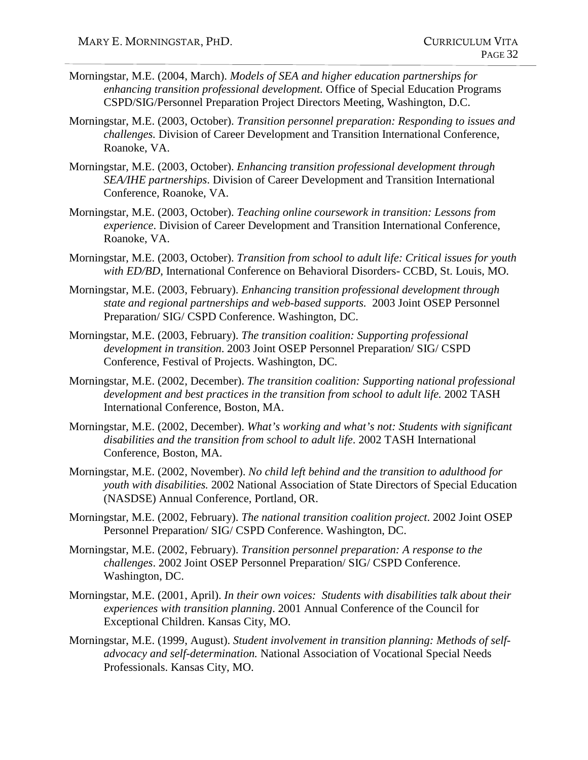- Morningstar, M.E. (2004, March). *Models of SEA and higher education partnerships for enhancing transition professional development.* Office of Special Education Programs CSPD/SIG/Personnel Preparation Project Directors Meeting, Washington, D.C.
- Morningstar, M.E. (2003, October). *Transition personnel preparation: Responding to issues and challenges.* Division of Career Development and Transition International Conference, Roanoke, VA.
- Morningstar, M.E. (2003, October). *Enhancing transition professional development through SEA/IHE partnerships*. Division of Career Development and Transition International Conference, Roanoke, VA.
- Morningstar, M.E. (2003, October). *Teaching online coursework in transition: Lessons from experience*. Division of Career Development and Transition International Conference, Roanoke, VA.
- Morningstar, M.E. (2003, October). *Transition from school to adult life: Critical issues for youth with ED/BD*, International Conference on Behavioral Disorders- CCBD, St. Louis, MO.
- Morningstar, M.E. (2003, February). *Enhancing transition professional development through state and regional partnerships and web-based supports.* 2003 Joint OSEP Personnel Preparation/ SIG/ CSPD Conference. Washington, DC.
- Morningstar, M.E. (2003, February). *The transition coalition: Supporting professional development in transition*. 2003 Joint OSEP Personnel Preparation/ SIG/ CSPD Conference, Festival of Projects. Washington, DC.
- Morningstar, M.E. (2002, December). *The transition coalition: Supporting national professional development and best practices in the transition from school to adult life.* 2002 TASH International Conference, Boston, MA.
- Morningstar, M.E. (2002, December). *What's working and what's not: Students with significant disabilities and the transition from school to adult life*. 2002 TASH International Conference, Boston, MA.
- Morningstar, M.E. (2002, November). *No child left behind and the transition to adulthood for youth with disabilities.* 2002 National Association of State Directors of Special Education (NASDSE) Annual Conference, Portland, OR.
- Morningstar, M.E. (2002, February). *The national transition coalition project*. 2002 Joint OSEP Personnel Preparation/ SIG/ CSPD Conference. Washington, DC.
- Morningstar, M.E. (2002, February). *Transition personnel preparation: A response to the challenges*. 2002 Joint OSEP Personnel Preparation/ SIG/ CSPD Conference. Washington, DC.
- Morningstar, M.E. (2001, April). *In their own voices: Students with disabilities talk about their experiences with transition planning*. 2001 Annual Conference of the Council for Exceptional Children. Kansas City, MO.
- Morningstar, M.E. (1999, August). *Student involvement in transition planning: Methods of selfadvocacy and self-determination.* National Association of Vocational Special Needs Professionals. Kansas City, MO.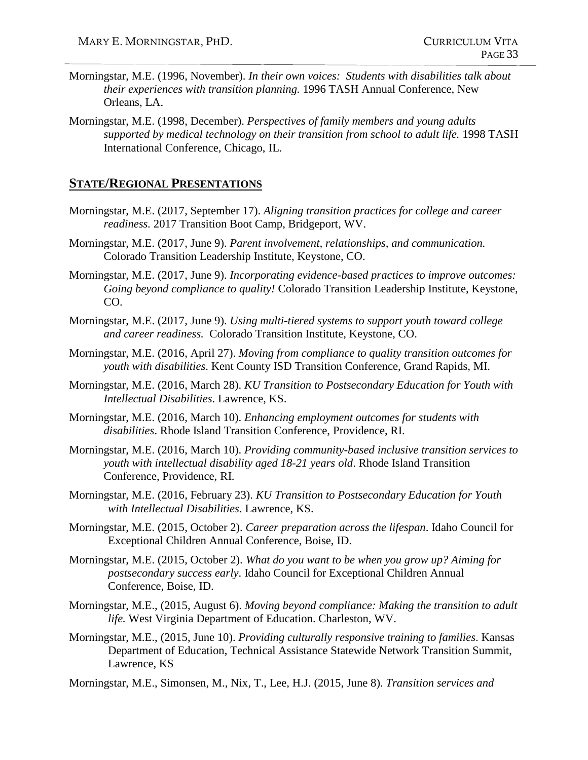- Morningstar, M.E. (1996, November). *In their own voices: Students with disabilities talk about their experiences with transition planning.* 1996 TASH Annual Conference, New Orleans, LA.
- Morningstar, M.E. (1998, December). *Perspectives of family members and young adults supported by medical technology on their transition from school to adult life.* 1998 TASH International Conference, Chicago, IL.

## **STATE/REGIONAL PRESENTATIONS**

- Morningstar, M.E. (2017, September 17). *Aligning transition practices for college and career readiness.* 2017 Transition Boot Camp, Bridgeport, WV.
- Morningstar, M.E. (2017, June 9). *Parent involvement, relationships, and communication.*  Colorado Transition Leadership Institute, Keystone, CO.
- Morningstar, M.E. (2017, June 9). *Incorporating evidence-based practices to improve outcomes: Going beyond compliance to quality!* Colorado Transition Leadership Institute, Keystone, CO.
- Morningstar, M.E. (2017, June 9). *Using multi-tiered systems to support youth toward college and career readiness.* Colorado Transition Institute, Keystone, CO.
- Morningstar, M.E. (2016, April 27). *Moving from compliance to quality transition outcomes for youth with disabilities*. Kent County ISD Transition Conference, Grand Rapids, MI.
- Morningstar, M.E. (2016, March 28). *KU Transition to Postsecondary Education for Youth with Intellectual Disabilities*. Lawrence, KS.
- Morningstar, M.E. (2016, March 10). *Enhancing employment outcomes for students with disabilities*. Rhode Island Transition Conference, Providence, RI.
- Morningstar, M.E. (2016, March 10). *Providing community-based inclusive transition services to youth with intellectual disability aged 18-21 years old*. Rhode Island Transition Conference, Providence, RI.
- Morningstar, M.E. (2016, February 23). *KU Transition to Postsecondary Education for Youth with Intellectual Disabilities*. Lawrence, KS.
- Morningstar, M.E. (2015, October 2). *Career preparation across the lifespan*. Idaho Council for Exceptional Children Annual Conference, Boise, ID.
- Morningstar, M.E. (2015, October 2). *What do you want to be when you grow up? Aiming for postsecondary success early*. Idaho Council for Exceptional Children Annual Conference, Boise, ID.
- Morningstar, M.E., (2015, August 6). *Moving beyond compliance: Making the transition to adult life.* West Virginia Department of Education. Charleston, WV.
- Morningstar, M.E., (2015, June 10). *Providing culturally responsive training to families*. Kansas Department of Education, Technical Assistance Statewide Network Transition Summit, Lawrence, KS
- Morningstar, M.E., Simonsen, M., Nix, T., Lee, H.J. (2015, June 8). *Transition services and*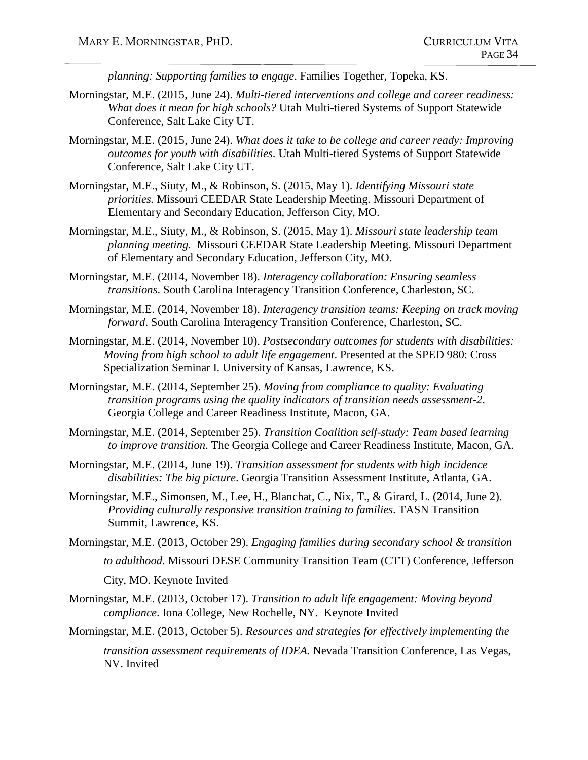*planning: Supporting families to engage*. Families Together, Topeka, KS.

- Morningstar, M.E. (2015, June 24). *Multi-tiered interventions and college and career readiness: What does it mean for high schools?* Utah Multi-tiered Systems of Support Statewide Conference, Salt Lake City UT.
- Morningstar, M.E. (2015, June 24). *What does it take to be college and career ready: Improving outcomes for youth with disabilities*. Utah Multi-tiered Systems of Support Statewide Conference, Salt Lake City UT.
- Morningstar, M.E., Siuty, M., & Robinson, S. (2015, May 1). *Identifying Missouri state priorities.* Missouri CEEDAR State Leadership Meeting. Missouri Department of Elementary and Secondary Education, Jefferson City, MO.
- Morningstar, M.E., Siuty, M., & Robinson, S. (2015, May 1). *Missouri state leadership team planning meeting.* Missouri CEEDAR State Leadership Meeting. Missouri Department of Elementary and Secondary Education, Jefferson City, MO.
- Morningstar, M.E. (2014, November 18). *Interagency collaboration: Ensuring seamless transitions*. South Carolina Interagency Transition Conference, Charleston, SC.
- Morningstar, M.E. (2014, November 18). *Interagency transition teams: Keeping on track moving forward*. South Carolina Interagency Transition Conference, Charleston, SC.
- Morningstar, M.E. (2014, November 10). *Postsecondary outcomes for students with disabilities: Moving from high school to adult life engagement*. Presented at the SPED 980: Cross Specialization Seminar I. University of Kansas, Lawrence, KS.
- Morningstar, M.E. (2014, September 25). *Moving from compliance to quality: Evaluating transition programs using the quality indicators of transition needs assessment-2*. Georgia College and Career Readiness Institute, Macon, GA.
- Morningstar, M.E. (2014, September 25). *Transition Coalition self-study: Team based learning to improve transition*. The Georgia College and Career Readiness Institute, Macon, GA.
- Morningstar, M.E. (2014, June 19). *Transition assessment for students with high incidence disabilities: The big picture*. Georgia Transition Assessment Institute, Atlanta, GA.
- Morningstar, M.E., Simonsen, M., Lee, H., Blanchat, C., Nix, T., & Girard, L. (2014, June 2). *Providing culturally responsive transition training to families*. TASN Transition Summit, Lawrence, KS.
- Morningstar, M.E. (2013, October 29). *Engaging families during secondary school & transition to adulthood*. Missouri DESE Community Transition Team (CTT) Conference, Jefferson City, MO. Keynote Invited
- Morningstar, M.E. (2013, October 17). *Transition to adult life engagement: Moving beyond compliance*. Iona College, New Rochelle, NY. Keynote Invited

Morningstar, M.E. (2013, October 5). *Resources and strategies for effectively implementing the*

*transition assessment requirements of IDEA.* Nevada Transition Conference, Las Vegas, NV. Invited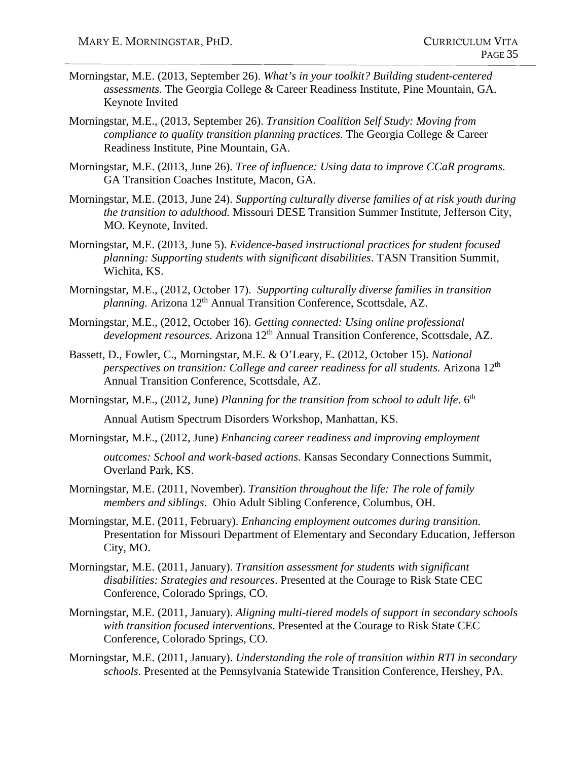- Morningstar, M.E. (2013, September 26). *What's in your toolkit? Building student-centered assessments.* The Georgia College & Career Readiness Institute, Pine Mountain, GA. Keynote Invited
- Morningstar, M.E., (2013, September 26). *Transition Coalition Self Study: Moving from compliance to quality transition planning practices.* The Georgia College & Career Readiness Institute, Pine Mountain, GA.
- Morningstar, M.E. (2013, June 26). *Tree of influence: Using data to improve CCaR programs*. GA Transition Coaches Institute, Macon, GA.
- Morningstar, M.E. (2013, June 24). *Supporting culturally diverse families of at risk youth during the transition to adulthood.* Missouri DESE Transition Summer Institute, Jefferson City, MO. Keynote, Invited.
- Morningstar, M.E. (2013, June 5). *Evidence-based instructional practices for student focused planning: Supporting students with significant disabilities*. TASN Transition Summit, Wichita, KS.
- Morningstar, M.E., (2012, October 17). *Supporting culturally diverse families in transition planning.* Arizona 12<sup>th</sup> Annual Transition Conference, Scottsdale, AZ.
- Morningstar, M.E., (2012, October 16). *Getting connected: Using online professional development resources*. Arizona 12<sup>th</sup> Annual Transition Conference, Scottsdale, AZ.
- Bassett, D., Fowler, C., Morningstar, M.E. & O'Leary, E. (2012, October 15). *National perspectives on transition: College and career readiness for all students.* Arizona 12<sup>th</sup> Annual Transition Conference, Scottsdale, AZ.
- Morningstar, M.E., (2012, June) *Planning for the transition from school to adult life*. 6<sup>th</sup>

Annual Autism Spectrum Disorders Workshop, Manhattan, KS.

Morningstar, M.E., (2012, June) *Enhancing career readiness and improving employment*

*outcomes: School and work-based actions*. Kansas Secondary Connections Summit, Overland Park, KS.

- Morningstar, M.E. (2011, November). *Transition throughout the life: The role of family members and siblings*. Ohio Adult Sibling Conference, Columbus, OH.
- Morningstar, M.E. (2011, February). *Enhancing employment outcomes during transition*. Presentation for Missouri Department of Elementary and Secondary Education, Jefferson City, MO.
- Morningstar, M.E. (2011, January). *Transition assessment for students with significant disabilities: Strategies and resources*. Presented at the Courage to Risk State CEC Conference, Colorado Springs, CO.
- Morningstar, M.E. (2011, January). *Aligning multi-tiered models of support in secondary schools with transition focused interventions*. Presented at the Courage to Risk State CEC Conference, Colorado Springs, CO.
- Morningstar, M.E. (2011, January). *Understanding the role of transition within RTI in secondary schools*. Presented at the Pennsylvania Statewide Transition Conference, Hershey, PA.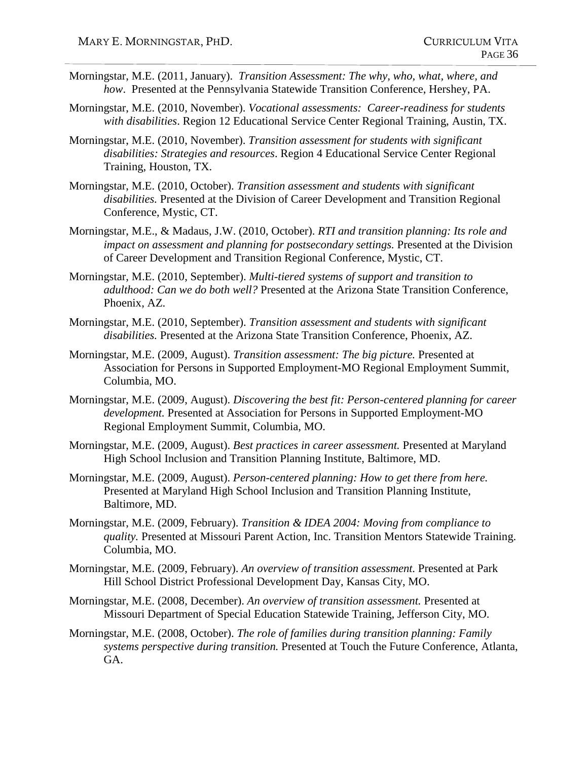- Morningstar, M.E. (2011, January). *Transition Assessment: The why, who, what, where, and how*. Presented at the Pennsylvania Statewide Transition Conference, Hershey, PA.
- Morningstar, M.E. (2010, November). *Vocational assessments: Career-readiness for students with disabilities*. Region 12 Educational Service Center Regional Training, Austin, TX.
- Morningstar, M.E. (2010, November). *Transition assessment for students with significant disabilities: Strategies and resources*. Region 4 Educational Service Center Regional Training, Houston, TX.
- Morningstar, M.E. (2010, October). *Transition assessment and students with significant disabilities.* Presented at the Division of Career Development and Transition Regional Conference, Mystic, CT.
- Morningstar, M.E., & Madaus, J.W. (2010, October). *RTI and transition planning: Its role and impact on assessment and planning for postsecondary settings.* Presented at the Division of Career Development and Transition Regional Conference, Mystic, CT.
- Morningstar, M.E. (2010, September). *Multi-tiered systems of support and transition to adulthood: Can we do both well?* Presented at the Arizona State Transition Conference, Phoenix, AZ.
- Morningstar, M.E. (2010, September). *Transition assessment and students with significant disabilities.* Presented at the Arizona State Transition Conference, Phoenix, AZ.
- Morningstar, M.E. (2009, August). *Transition assessment: The big picture.* Presented at Association for Persons in Supported Employment-MO Regional Employment Summit, Columbia, MO.
- Morningstar, M.E. (2009, August). *Discovering the best fit: Person-centered planning for career development.* Presented at Association for Persons in Supported Employment-MO Regional Employment Summit, Columbia, MO.
- Morningstar, M.E. (2009, August). *Best practices in career assessment.* Presented at Maryland High School Inclusion and Transition Planning Institute, Baltimore, MD.
- Morningstar, M.E. (2009, August). *Person-centered planning: How to get there from here.* Presented at Maryland High School Inclusion and Transition Planning Institute, Baltimore, MD.
- Morningstar, M.E. (2009, February). *Transition & IDEA 2004: Moving from compliance to quality.* Presented at Missouri Parent Action, Inc. Transition Mentors Statewide Training. Columbia, MO.
- Morningstar, M.E. (2009, February). *An overview of transition assessment.* Presented at Park Hill School District Professional Development Day, Kansas City, MO.
- Morningstar, M.E. (2008, December). *An overview of transition assessment.* Presented at Missouri Department of Special Education Statewide Training, Jefferson City, MO.
- Morningstar, M.E. (2008, October). *The role of families during transition planning: Family systems perspective during transition.* Presented at Touch the Future Conference, Atlanta, GA.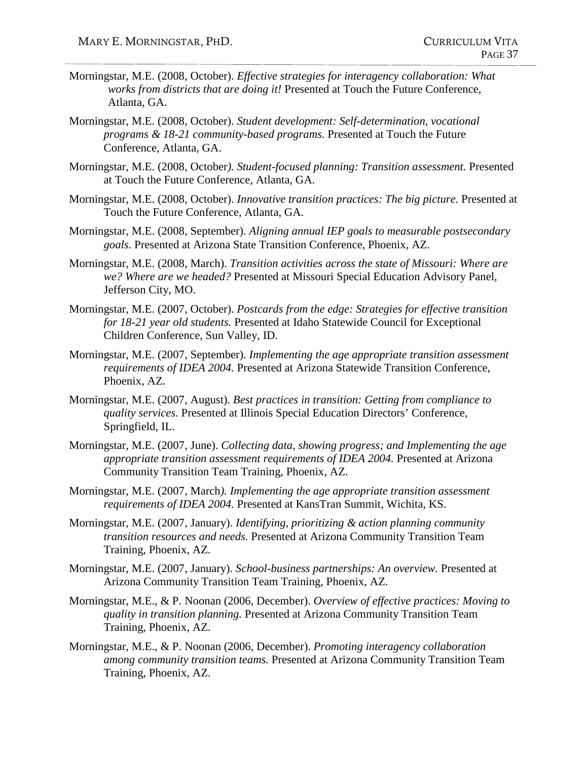- Morningstar, M.E. (2008, October). *Effective strategies for interagency collaboration: What works from districts that are doing it!* Presented at Touch the Future Conference, Atlanta, GA.
- Morningstar, M.E. (2008, October). *Student development: Self-determination, vocational programs & 18-21 community-based programs.* Presented at Touch the Future Conference, Atlanta, GA.
- Morningstar, M.E. (2008, October*). Student-focused planning: Transition assessment.* Presented at Touch the Future Conference, Atlanta, GA.
- Morningstar, M.E. (2008, October). *Innovative transition practices: The big picture.* Presented at Touch the Future Conference, Atlanta, GA.
- Morningstar, M.E. (2008, September). *Aligning annual IEP goals to measurable postsecondary goals.* Presented at Arizona State Transition Conference, Phoenix, AZ.
- Morningstar, M.E. (2008, March). *Transition activities across the state of Missouri: Where are we? Where are we headed?* Presented at Missouri Special Education Advisory Panel, Jefferson City, MO.
- Morningstar, M.E. (2007, October). *Postcards from the edge: Strategies for effective transition for 18-21 year old students.* Presented at Idaho Statewide Council for Exceptional Children Conference, Sun Valley, ID.
- Morningstar, M.E. (2007, September). *Implementing the age appropriate transition assessment requirements of IDEA 2004.* Presented at Arizona Statewide Transition Conference, Phoenix, AZ.
- Morningstar, M.E. (2007, August). *Best practices in transition: Getting from compliance to quality services.* Presented at Illinois Special Education Directors' Conference, Springfield, IL.
- Morningstar, M.E. (2007, June). *Collecting data, showing progress; and Implementing the age appropriate transition assessment requirements of IDEA 2004.* Presented at Arizona Community Transition Team Training, Phoenix, AZ.
- Morningstar, M.E. (2007, March*). Implementing the age appropriate transition assessment requirements of IDEA 2004.* Presented at KansTran Summit, Wichita, KS.
- Morningstar, M.E. (2007, January). *Identifying, prioritizing & action planning community transition resources and needs.* Presented at Arizona Community Transition Team Training, Phoenix, AZ.
- Morningstar, M.E. (2007, January). *School-business partnerships: An overview.* Presented at Arizona Community Transition Team Training, Phoenix, AZ.
- Morningstar, M.E., & P. Noonan (2006, December). *Overview of effective practices: Moving to quality in transition planning.* Presented at Arizona Community Transition Team Training, Phoenix, AZ.
- Morningstar, M.E., & P. Noonan (2006, December). *Promoting interagency collaboration among community transition teams.* Presented at Arizona Community Transition Team Training, Phoenix, AZ.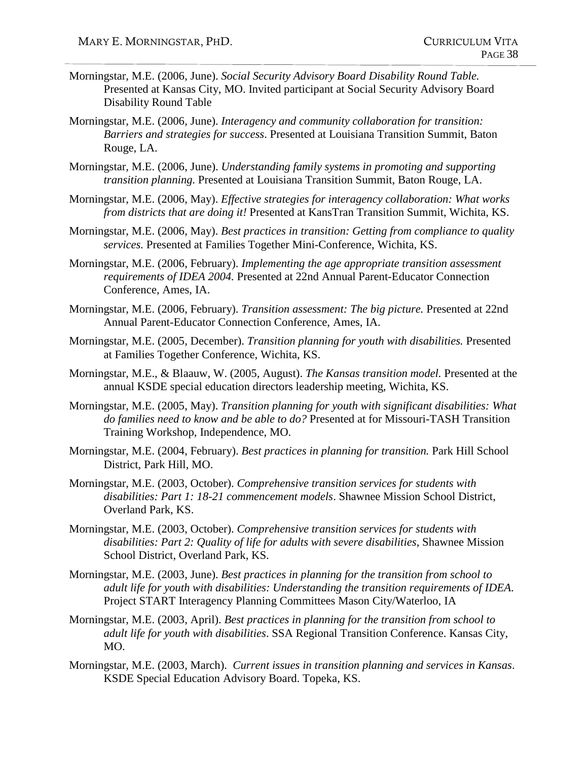- Morningstar, M.E. (2006, June). *Social Security Advisory Board Disability Round Table.* Presented at Kansas City, MO. Invited participant at Social Security Advisory Board Disability Round Table
- Morningstar, M.E. (2006, June). *Interagency and community collaboration for transition: Barriers and strategies for success*. Presented at Louisiana Transition Summit, Baton Rouge, LA.
- Morningstar, M.E. (2006, June). *Understanding family systems in promoting and supporting transition planning.* Presented at Louisiana Transition Summit, Baton Rouge, LA.
- Morningstar, M.E. (2006, May). *Effective strategies for interagency collaboration: What works from districts that are doing it!* Presented at KansTran Transition Summit, Wichita, KS.
- Morningstar, M.E. (2006, May). *Best practices in transition: Getting from compliance to quality services.* Presented at Families Together Mini-Conference, Wichita, KS.
- Morningstar, M.E. (2006, February). *Implementing the age appropriate transition assessment requirements of IDEA 2004.* Presented at 22nd Annual Parent-Educator Connection Conference, Ames, IA.
- Morningstar, M.E. (2006, February). *Transition assessment: The big picture.* Presented at 22nd Annual Parent-Educator Connection Conference, Ames, IA.
- Morningstar, M.E. (2005, December). *Transition planning for youth with disabilities.* Presented at Families Together Conference, Wichita, KS.
- Morningstar, M.E., & Blaauw, W. (2005, August). *The Kansas transition model.* Presented at the annual KSDE special education directors leadership meeting, Wichita, KS.
- Morningstar, M.E. (2005, May). *Transition planning for youth with significant disabilities: What do families need to know and be able to do?* Presented at for Missouri-TASH Transition Training Workshop, Independence, MO.
- Morningstar, M.E. (2004, February). *Best practices in planning for transition.* Park Hill School District, Park Hill, MO.
- Morningstar, M.E. (2003, October). *Comprehensive transition services for students with disabilities: Part 1: 18-21 commencement models*. Shawnee Mission School District, Overland Park, KS.
- Morningstar, M.E. (2003, October). *Comprehensive transition services for students with disabilities: Part 2: Quality of life for adults with severe disabilities*, Shawnee Mission School District, Overland Park, KS.
- Morningstar, M.E. (2003, June). *Best practices in planning for the transition from school to adult life for youth with disabilities: Understanding the transition requirements of IDEA*. Project START Interagency Planning Committees Mason City/Waterloo, IA
- Morningstar, M.E. (2003, April). *Best practices in planning for the transition from school to adult life for youth with disabilities*. SSA Regional Transition Conference. Kansas City, MO.
- Morningstar, M.E. (2003, March). *Current issues in transition planning and services in Kansas*. KSDE Special Education Advisory Board. Topeka, KS.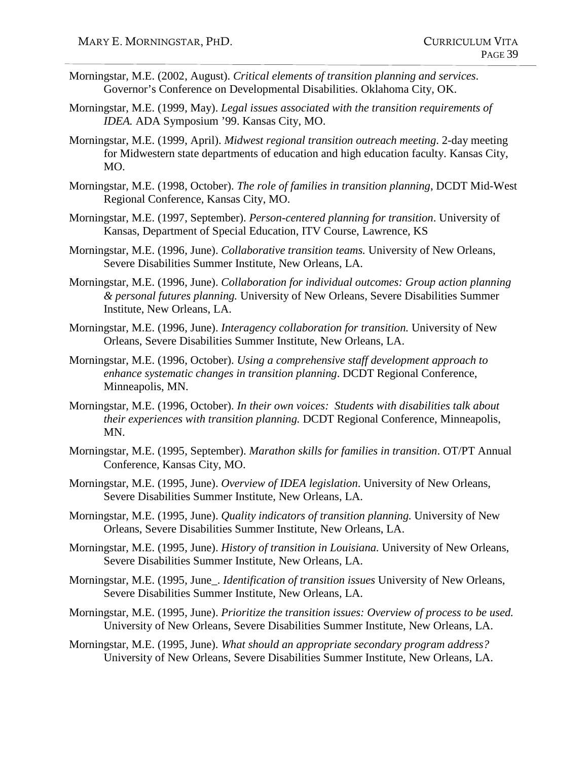- Morningstar, M.E. (2002, August). *Critical elements of transition planning and services*. Governor's Conference on Developmental Disabilities. Oklahoma City, OK.
- Morningstar, M.E. (1999, May). *Legal issues associated with the transition requirements of IDEA.* ADA Symposium '99. Kansas City, MO.
- Morningstar, M.E. (1999, April). *Midwest regional transition outreach meeting*. 2-day meeting for Midwestern state departments of education and high education faculty. Kansas City, MO.
- Morningstar, M.E. (1998, October). *The role of families in transition planning*, DCDT Mid-West Regional Conference, Kansas City, MO.
- Morningstar, M.E. (1997, September). *Person-centered planning for transition*. University of Kansas, Department of Special Education, ITV Course, Lawrence, KS
- Morningstar, M.E. (1996, June). *Collaborative transition teams.* University of New Orleans, Severe Disabilities Summer Institute, New Orleans, LA.
- Morningstar, M.E. (1996, June). *Collaboration for individual outcomes: Group action planning & personal futures planning.* University of New Orleans, Severe Disabilities Summer Institute, New Orleans, LA.
- Morningstar, M.E. (1996, June). *Interagency collaboration for transition.* University of New Orleans, Severe Disabilities Summer Institute, New Orleans, LA.
- Morningstar, M.E. (1996, October). *Using a comprehensive staff development approach to enhance systematic changes in transition planning*. DCDT Regional Conference, Minneapolis, MN.
- Morningstar, M.E. (1996, October). *In their own voices: Students with disabilities talk about their experiences with transition planning.* DCDT Regional Conference, Minneapolis, MN.
- Morningstar, M.E. (1995, September). *Marathon skills for families in transition*. OT/PT Annual Conference, Kansas City, MO.
- Morningstar, M.E. (1995, June). *Overview of IDEA legislation*. University of New Orleans, Severe Disabilities Summer Institute, New Orleans, LA.
- Morningstar, M.E. (1995, June). *Quality indicators of transition planning.* University of New Orleans, Severe Disabilities Summer Institute, New Orleans, LA.
- Morningstar, M.E. (1995, June). *History of transition in Louisiana.* University of New Orleans, Severe Disabilities Summer Institute, New Orleans, LA.
- Morningstar, M.E. (1995, June\_. *Identification of transition issues* University of New Orleans, Severe Disabilities Summer Institute, New Orleans, LA.
- Morningstar, M.E. (1995, June). *Prioritize the transition issues: Overview of process to be used.*  University of New Orleans, Severe Disabilities Summer Institute, New Orleans, LA.
- Morningstar, M.E. (1995, June). *What should an appropriate secondary program address?* University of New Orleans, Severe Disabilities Summer Institute, New Orleans, LA.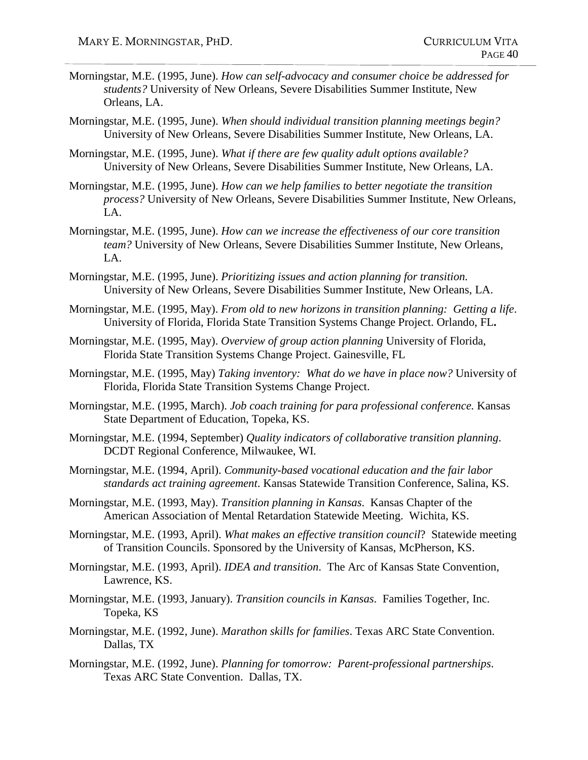- Morningstar, M.E. (1995, June). *How can self-advocacy and consumer choice be addressed for students?* University of New Orleans, Severe Disabilities Summer Institute, New Orleans, LA.
- Morningstar, M.E. (1995, June). *When should individual transition planning meetings begin?* University of New Orleans, Severe Disabilities Summer Institute, New Orleans, LA.
- Morningstar, M.E. (1995, June). *What if there are few quality adult options available?* University of New Orleans, Severe Disabilities Summer Institute, New Orleans, LA.
- Morningstar, M.E. (1995, June). *How can we help families to better negotiate the transition process?* University of New Orleans, Severe Disabilities Summer Institute, New Orleans, LA.
- Morningstar, M.E. (1995, June). *How can we increase the effectiveness of our core transition team?* University of New Orleans, Severe Disabilities Summer Institute, New Orleans, LA.
- Morningstar, M.E. (1995, June). *Prioritizing issues and action planning for transition.* University of New Orleans, Severe Disabilities Summer Institute, New Orleans, LA.
- Morningstar, M.E. (1995, May). *From old to new horizons in transition planning: Getting a life*. University of Florida, Florida State Transition Systems Change Project. Orlando, FL**.**
- Morningstar, M.E. (1995, May). *Overview of group action planning* University of Florida, Florida State Transition Systems Change Project. Gainesville, FL
- Morningstar, M.E. (1995, May) *Taking inventory: What do we have in place now?* University of Florida, Florida State Transition Systems Change Project.
- Morningstar, M.E. (1995, March). *Job coach training for para professional conference.* Kansas State Department of Education, Topeka, KS.
- Morningstar, M.E. (1994, September) *Quality indicators of collaborative transition planning*. DCDT Regional Conference, Milwaukee, WI.
- Morningstar, M.E. (1994, April). *Community-based vocational education and the fair labor standards act training agreement*. Kansas Statewide Transition Conference, Salina, KS.
- Morningstar, M.E. (1993, May). *Transition planning in Kansas*. Kansas Chapter of the American Association of Mental Retardation Statewide Meeting. Wichita, KS.
- Morningstar, M.E. (1993, April). *What makes an effective transition council*? Statewide meeting of Transition Councils. Sponsored by the University of Kansas, McPherson, KS.
- Morningstar, M.E. (1993, April). *IDEA and transition*. The Arc of Kansas State Convention, Lawrence, KS.
- Morningstar, M.E. (1993, January). *Transition councils in Kansas*. Families Together, Inc. Topeka, KS
- Morningstar, M.E. (1992, June). *Marathon skills for families*. Texas ARC State Convention. Dallas, TX
- Morningstar, M.E. (1992, June). *Planning for tomorrow: Parent-professional partnerships*. Texas ARC State Convention. Dallas, TX.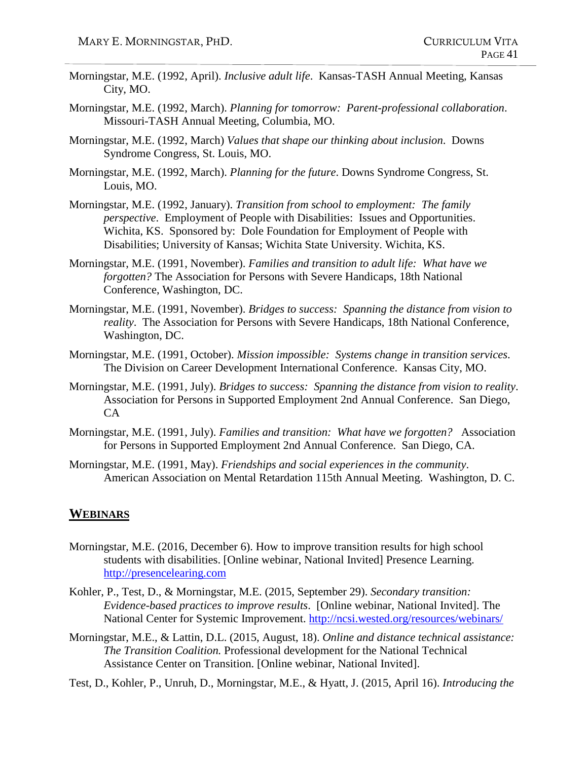- Morningstar, M.E. (1992, April). *Inclusive adult life*. Kansas-TASH Annual Meeting, Kansas City, MO.
- Morningstar, M.E. (1992, March). *Planning for tomorrow: Parent-professional collaboration*. Missouri-TASH Annual Meeting, Columbia, MO.
- Morningstar, M.E. (1992, March) *Values that shape our thinking about inclusion*. Downs Syndrome Congress, St. Louis, MO.
- Morningstar, M.E. (1992, March). *Planning for the future*. Downs Syndrome Congress, St. Louis, MO.
- Morningstar, M.E. (1992, January). *Transition from school to employment: The family perspective*. Employment of People with Disabilities: Issues and Opportunities. Wichita, KS. Sponsored by: Dole Foundation for Employment of People with Disabilities; University of Kansas; Wichita State University. Wichita, KS.
- Morningstar, M.E. (1991, November). *Families and transition to adult life: What have we forgotten?* The Association for Persons with Severe Handicaps, 18th National Conference, Washington, DC.
- Morningstar, M.E. (1991, November). *Bridges to success: Spanning the distance from vision to reality*. The Association for Persons with Severe Handicaps, 18th National Conference, Washington, DC.
- Morningstar, M.E. (1991, October). *Mission impossible: Systems change in transition services*. The Division on Career Development International Conference. Kansas City, MO.
- Morningstar, M.E. (1991, July). *Bridges to success: Spanning the distance from vision to reality*. Association for Persons in Supported Employment 2nd Annual Conference. San Diego, CA
- Morningstar, M.E. (1991, July). *Families and transition: What have we forgotten?* Association for Persons in Supported Employment 2nd Annual Conference. San Diego, CA.
- Morningstar, M.E. (1991, May). *Friendships and social experiences in the community*. American Association on Mental Retardation 115th Annual Meeting. Washington, D. C.

#### **WEBINARS**

- Morningstar, M.E. (2016, December 6). How to improve transition results for high school students with disabilities. [Online webinar, National Invited] Presence Learning. [http://presencelearing.com](http://presencelearing.com/)
- Kohler, P., Test, D., & Morningstar, M.E. (2015, September 29). *Secondary transition: Evidence-based practices to improve results*. [Online webinar, National Invited]. The National Center for Systemic Improvement.<http://ncsi.wested.org/resources/webinars/>
- Morningstar, M.E., & Lattin, D.L. (2015, August, 18). *Online and distance technical assistance: The Transition Coalition.* Professional development for the National Technical Assistance Center on Transition. [Online webinar, National Invited].
- Test, D., Kohler, P., Unruh, D., Morningstar, M.E., & Hyatt, J. (2015, April 16). *Introducing the*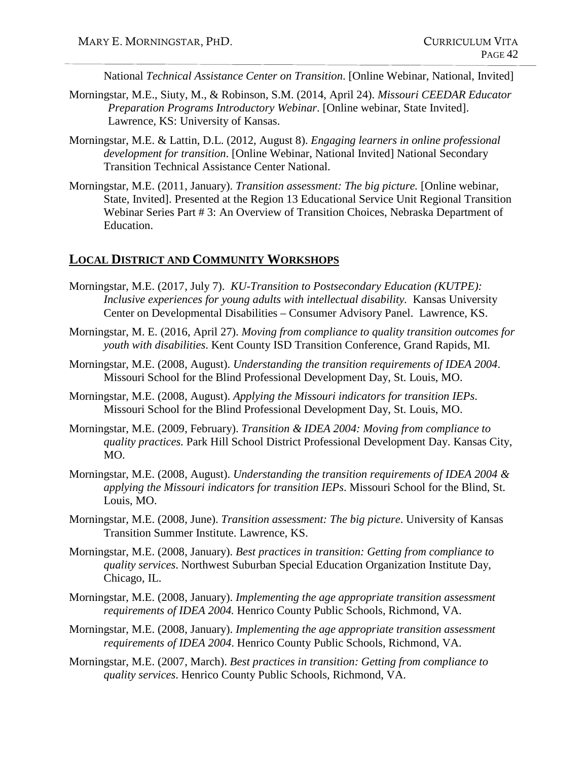National *Technical Assistance Center on Transition*. [Online Webinar, National, Invited]

- Morningstar, M.E., Siuty, M., & Robinson, S.M. (2014, April 24). *Missouri CEEDAR Educator Preparation Programs Introductory Webinar*. [Online webinar, State Invited]. Lawrence, KS: University of Kansas.
- Morningstar, M.E. & Lattin, D.L. (2012, August 8). *Engaging learners in online professional development for transition*. [Online Webinar, National Invited] National Secondary Transition Technical Assistance Center National.
- Morningstar, M.E. (2011, January). *Transition assessment: The big picture.* [Online webinar, State, Invited]. Presented at the Region 13 Educational Service Unit Regional Transition Webinar Series Part # 3: An Overview of Transition Choices, Nebraska Department of Education.

#### **LOCAL DISTRICT AND COMMUNITY WORKSHOPS**

- Morningstar, M.E. (2017, July 7). *KU-Transition to Postsecondary Education (KUTPE): Inclusive experiences for young adults with intellectual disability.* Kansas University Center on Developmental Disabilities – Consumer Advisory Panel. Lawrence, KS.
- Morningstar, M. E. (2016, April 27). *Moving from compliance to quality transition outcomes for youth with disabilities*. Kent County ISD Transition Conference, Grand Rapids, MI.
- Morningstar, M.E. (2008, August). *Understanding the transition requirements of IDEA 2004*. Missouri School for the Blind Professional Development Day, St. Louis, MO.
- Morningstar, M.E. (2008, August). *Applying the Missouri indicators for transition IEPs*. Missouri School for the Blind Professional Development Day, St. Louis, MO.
- Morningstar, M.E. (2009, February). *Transition & IDEA 2004: Moving from compliance to quality practices.* Park Hill School District Professional Development Day. Kansas City, MO.
- Morningstar, M.E. (2008, August). *Understanding the transition requirements of IDEA 2004 & applying the Missouri indicators for transition IEPs*. Missouri School for the Blind, St. Louis, MO.
- Morningstar, M.E. (2008, June). *Transition assessment: The big picture*. University of Kansas Transition Summer Institute. Lawrence, KS.
- Morningstar, M.E. (2008, January). *Best practices in transition: Getting from compliance to quality services*. Northwest Suburban Special Education Organization Institute Day, Chicago, IL.
- Morningstar, M.E. (2008, January). *Implementing the age appropriate transition assessment requirements of IDEA 2004.* Henrico County Public Schools, Richmond, VA.
- Morningstar, M.E. (2008, January). *Implementing the age appropriate transition assessment requirements of IDEA 2004*. Henrico County Public Schools, Richmond, VA.
- Morningstar, M.E. (2007, March). *Best practices in transition: Getting from compliance to quality services*. Henrico County Public Schools, Richmond, VA.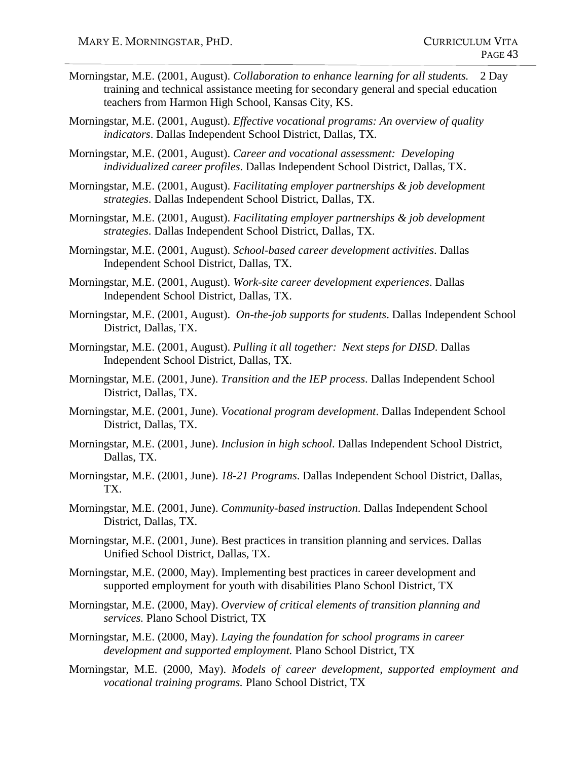- Morningstar, M.E. (2001, August). *Collaboration to enhance learning for all students.* 2 Day training and technical assistance meeting for secondary general and special education teachers from Harmon High School, Kansas City, KS.
- Morningstar, M.E. (2001, August). *Effective vocational programs: An overview of quality indicators*. Dallas Independent School District, Dallas, TX.
- Morningstar, M.E. (2001, August). *Career and vocational assessment: Developing individualized career profiles*. Dallas Independent School District, Dallas, TX.
- Morningstar, M.E. (2001, August). *Facilitating employer partnerships & job development strategies*. Dallas Independent School District, Dallas, TX.
- Morningstar, M.E. (2001, August). *Facilitating employer partnerships & job development strategies*. Dallas Independent School District, Dallas, TX.
- Morningstar, M.E. (2001, August). *School-based career development activities*. Dallas Independent School District, Dallas, TX.
- Morningstar, M.E. (2001, August). *Work-site career development experiences*. Dallas Independent School District, Dallas, TX.
- Morningstar, M.E. (2001, August). *On-the-job supports for students*. Dallas Independent School District, Dallas, TX.
- Morningstar, M.E. (2001, August). *Pulling it all together: Next steps for DISD*. Dallas Independent School District, Dallas, TX.
- Morningstar, M.E. (2001, June). *Transition and the IEP process*. Dallas Independent School District, Dallas, TX.
- Morningstar, M.E. (2001, June). *Vocational program development*. Dallas Independent School District, Dallas, TX.
- Morningstar, M.E. (2001, June). *Inclusion in high school*. Dallas Independent School District, Dallas, TX.
- Morningstar, M.E. (2001, June). *18-21 Programs*. Dallas Independent School District, Dallas, TX.
- Morningstar, M.E. (2001, June). *Community-based instruction*. Dallas Independent School District, Dallas, TX.
- Morningstar, M.E. (2001, June). Best practices in transition planning and services. Dallas Unified School District, Dallas, TX.
- Morningstar, M.E. (2000, May). Implementing best practices in career development and supported employment for youth with disabilities Plano School District, TX
- Morningstar, M.E. (2000, May). *Overview of critical elements of transition planning and services.* Plano School District, TX
- Morningstar, M.E. (2000, May). *Laying the foundation for school programs in career development and supported employment.* Plano School District, TX
- Morningstar, M.E. (2000, May). *Models of career development, supported employment and vocational training programs.* Plano School District, TX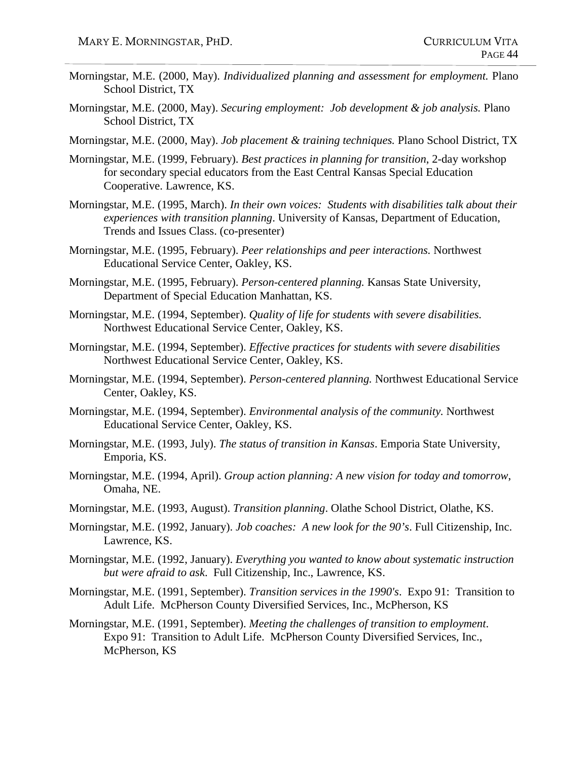- Morningstar, M.E. (2000, May). *Individualized planning and assessment for employment.* Plano School District, TX
- Morningstar, M.E. (2000, May). *Securing employment: Job development & job analysis.* Plano School District, TX
- Morningstar, M.E. (2000, May). *Job placement & training techniques.* Plano School District, TX
- Morningstar, M.E. (1999, February). *Best practices in planning for transition*, 2-day workshop for secondary special educators from the East Central Kansas Special Education Cooperative. Lawrence, KS.
- Morningstar, M.E. (1995, March). *In their own voices: Students with disabilities talk about their experiences with transition planning*. University of Kansas, Department of Education, Trends and Issues Class. (co-presenter)
- Morningstar, M.E. (1995, February). *Peer relationships and peer interactions.* Northwest Educational Service Center, Oakley, KS.
- Morningstar, M.E. (1995, February). *Person-centered planning.* Kansas State University, Department of Special Education Manhattan, KS.
- Morningstar, M.E. (1994, September). *Quality of life for students with severe disabilities.*  Northwest Educational Service Center, Oakley, KS.
- Morningstar, M.E. (1994, September). *Effective practices for students with severe disabilities* Northwest Educational Service Center, Oakley, KS.
- Morningstar, M.E. (1994, September). *Person-centered planning.* Northwest Educational Service Center, Oakley, KS.
- Morningstar, M.E. (1994, September). *Environmental analysis of the community.* Northwest Educational Service Center, Oakley, KS.
- Morningstar, M.E. (1993, July). *The status of transition in Kansas*. Emporia State University, Emporia, KS.
- Morningstar, M.E. (1994, April). *Group* a*ction planning: A new vision for today and tomorrow*, Omaha, NE.
- Morningstar, M.E. (1993, August). *Transition planning*. Olathe School District, Olathe, KS.
- Morningstar, M.E. (1992, January). *Job coaches: A new look for the 90's*. Full Citizenship, Inc. Lawrence, KS.
- Morningstar, M.E. (1992, January). *Everything you wanted to know about systematic instruction but were afraid to ask*. Full Citizenship, Inc., Lawrence, KS.
- Morningstar, M.E. (1991, September). *Transition services in the 1990's*. Expo 91: Transition to Adult Life. McPherson County Diversified Services, Inc., McPherson, KS
- Morningstar, M.E. (1991, September). *Meeting the challenges of transition to employment*. Expo 91: Transition to Adult Life. McPherson County Diversified Services, Inc., McPherson, KS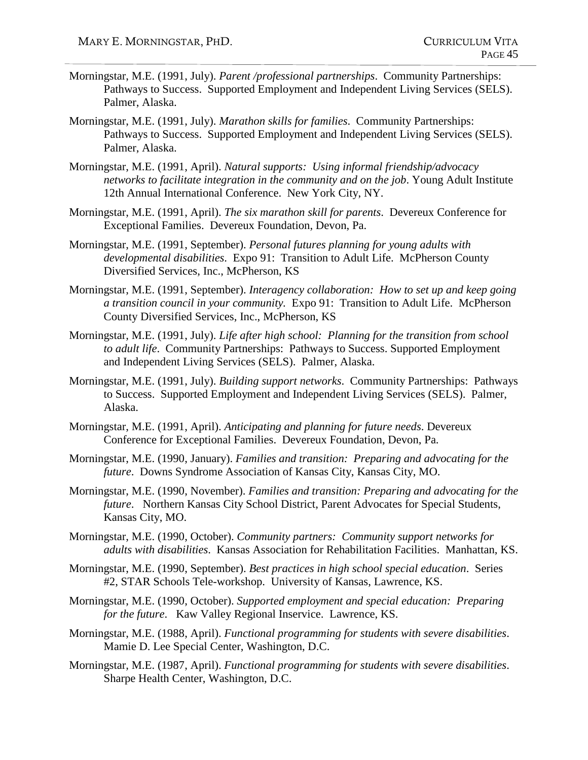- Morningstar, M.E. (1991, July). *Parent /professional partnerships*. Community Partnerships: Pathways to Success. Supported Employment and Independent Living Services (SELS). Palmer, Alaska.
- Morningstar, M.E. (1991, July). *Marathon skills for families*. Community Partnerships: Pathways to Success. Supported Employment and Independent Living Services (SELS). Palmer, Alaska.
- Morningstar, M.E. (1991, April). *Natural supports: Using informal friendship/advocacy networks to facilitate integration in the community and on the job*. Young Adult Institute 12th Annual International Conference. New York City, NY.
- Morningstar, M.E. (1991, April). *The six marathon skill for parents*. Devereux Conference for Exceptional Families. Devereux Foundation, Devon, Pa.
- Morningstar, M.E. (1991, September). *Personal futures planning for young adults with developmental disabilities*. Expo 91: Transition to Adult Life. McPherson County Diversified Services, Inc., McPherson, KS
- Morningstar, M.E. (1991, September). *Interagency collaboration: How to set up and keep going a transition council in your community.* Expo 91: Transition to Adult Life. McPherson County Diversified Services, Inc., McPherson, KS
- Morningstar, M.E. (1991, July). *Life after high school: Planning for the transition from school to adult life*. Community Partnerships: Pathways to Success. Supported Employment and Independent Living Services (SELS). Palmer, Alaska.
- Morningstar, M.E. (1991, July). *Building support networks*. Community Partnerships: Pathways to Success. Supported Employment and Independent Living Services (SELS). Palmer, Alaska.
- Morningstar, M.E. (1991, April). *Anticipating and planning for future needs*. Devereux Conference for Exceptional Families. Devereux Foundation, Devon, Pa.
- Morningstar, M.E. (1990, January). *Families and transition: Preparing and advocating for the future*. Downs Syndrome Association of Kansas City, Kansas City, MO.
- Morningstar, M.E. (1990, November). *Families and transition: Preparing and advocating for the future*. Northern Kansas City School District, Parent Advocates for Special Students, Kansas City, MO.
- Morningstar, M.E. (1990, October). *Community partners: Community support networks for adults with disabilities*. Kansas Association for Rehabilitation Facilities. Manhattan, KS.
- Morningstar, M.E. (1990, September). *Best practices in high school special education*. Series #2, STAR Schools Tele-workshop. University of Kansas, Lawrence, KS.
- Morningstar, M.E. (1990, October). *Supported employment and special education: Preparing for the future*. Kaw Valley Regional Inservice. Lawrence, KS.
- Morningstar, M.E. (1988, April). *Functional programming for students with severe disabilities*. Mamie D. Lee Special Center, Washington, D.C.
- Morningstar, M.E. (1987, April). *Functional programming for students with severe disabilities*. Sharpe Health Center, Washington, D.C.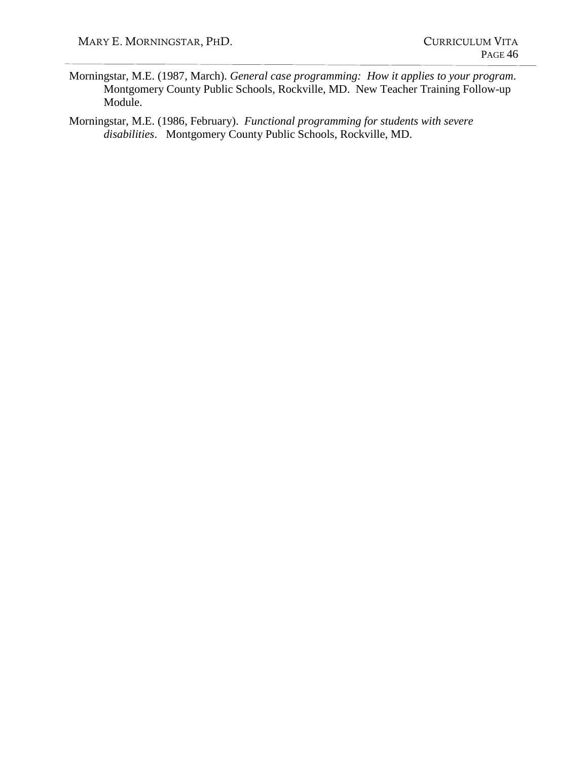- Morningstar, M.E. (1987, March). *General case programming: How it applies to your program*. Montgomery County Public Schools, Rockville, MD. New Teacher Training Follow-up Module.
- Morningstar, M.E. (1986, February). *Functional programming for students with severe disabilities*. Montgomery County Public Schools, Rockville, MD.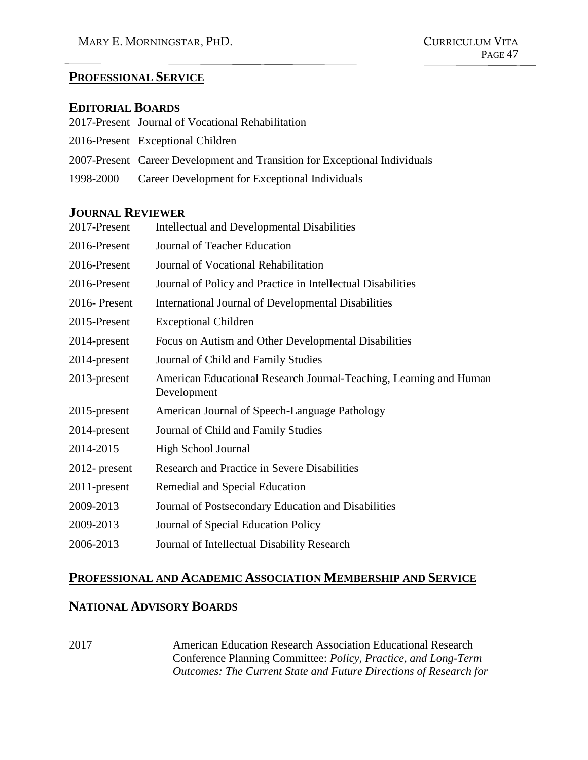## **PROFESSIONAL SERVICE**

#### **EDITORIAL BOARDS**

| 2017-Present Journal of Vocational Rehabilitation                          |
|----------------------------------------------------------------------------|
| 2016-Present Exceptional Children                                          |
| 2007-Present Career Development and Transition for Exceptional Individuals |
| 1998-2000 Career Development for Exceptional Individuals                   |

## **JOURNAL REVIEWER**

| 2017-Present     | <b>Intellectual and Developmental Disabilities</b>                                |
|------------------|-----------------------------------------------------------------------------------|
| 2016-Present     | Journal of Teacher Education                                                      |
| 2016-Present     | Journal of Vocational Rehabilitation                                              |
| 2016-Present     | Journal of Policy and Practice in Intellectual Disabilities                       |
| 2016-Present     | International Journal of Developmental Disabilities                               |
| 2015-Present     | <b>Exceptional Children</b>                                                       |
| 2014-present     | Focus on Autism and Other Developmental Disabilities                              |
| 2014-present     | Journal of Child and Family Studies                                               |
| $2013$ -present  | American Educational Research Journal-Teaching, Learning and Human<br>Development |
| 2015-present     | American Journal of Speech-Language Pathology                                     |
| 2014-present     | Journal of Child and Family Studies                                               |
| 2014-2015        | High School Journal                                                               |
| $2012$ - present | Research and Practice in Severe Disabilities                                      |
| $2011$ -present  | Remedial and Special Education                                                    |
| 2009-2013        | Journal of Postsecondary Education and Disabilities                               |
| 2009-2013        | Journal of Special Education Policy                                               |
| 2006-2013        | Journal of Intellectual Disability Research                                       |

# **PROFESSIONAL AND ACADEMIC ASSOCIATION MEMBERSHIP AND SERVICE**

# **NATIONAL ADVISORY BOARDS**

2017 American Education Research Association Educational Research Conference Planning Committee: *Policy, Practice, and Long-Term Outcomes: The Current State and Future Directions of Research for*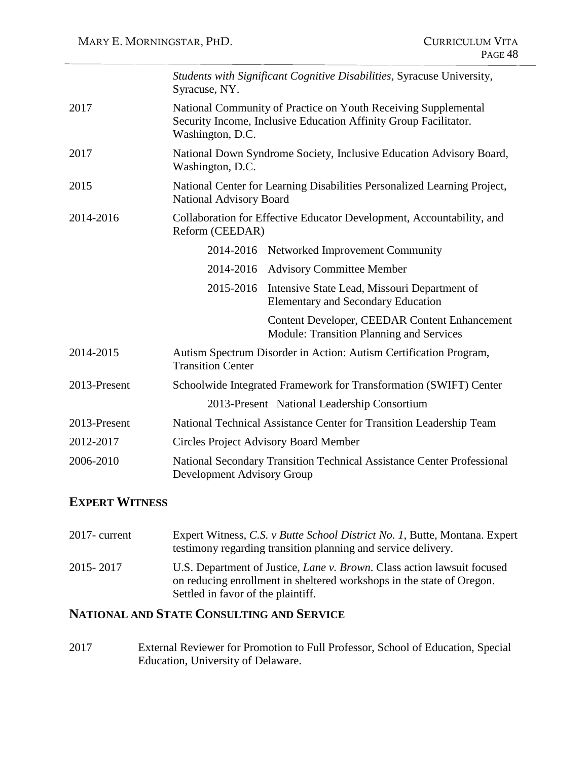|              | Syracuse, NY.                  | Students with Significant Cognitive Disabilities, Syracuse University,                                                             |
|--------------|--------------------------------|------------------------------------------------------------------------------------------------------------------------------------|
| 2017         | Washington, D.C.               | National Community of Practice on Youth Receiving Supplemental<br>Security Income, Inclusive Education Affinity Group Facilitator. |
| 2017         | Washington, D.C.               | National Down Syndrome Society, Inclusive Education Advisory Board,                                                                |
| 2015         | <b>National Advisory Board</b> | National Center for Learning Disabilities Personalized Learning Project,                                                           |
| 2014-2016    | Reform (CEEDAR)                | Collaboration for Effective Educator Development, Accountability, and                                                              |
|              |                                | 2014-2016 Networked Improvement Community                                                                                          |
|              |                                | 2014-2016 Advisory Committee Member                                                                                                |
|              | 2015-2016                      | Intensive State Lead, Missouri Department of<br><b>Elementary and Secondary Education</b>                                          |
|              |                                | <b>Content Developer, CEEDAR Content Enhancement</b><br><b>Module: Transition Planning and Services</b>                            |
| 2014-2015    | <b>Transition Center</b>       | Autism Spectrum Disorder in Action: Autism Certification Program,                                                                  |
| 2013-Present |                                | Schoolwide Integrated Framework for Transformation (SWIFT) Center                                                                  |
|              |                                | 2013-Present National Leadership Consortium                                                                                        |
| 2013-Present |                                | National Technical Assistance Center for Transition Leadership Team                                                                |
| 2012-2017    |                                | <b>Circles Project Advisory Board Member</b>                                                                                       |
| 2006-2010    | Development Advisory Group     | National Secondary Transition Technical Assistance Center Professional                                                             |

# **EXPERT WITNESS**

| $2017$ - current | Expert Witness, C.S. v Butte School District No. 1, Butte, Montana. Expert<br>testimony regarding transition planning and service delivery.                                            |
|------------------|----------------------------------------------------------------------------------------------------------------------------------------------------------------------------------------|
| 2015-2017        | U.S. Department of Justice, Lane v. Brown. Class action lawsuit focused<br>on reducing enrollment in sheltered workshops in the state of Oregon.<br>Settled in favor of the plaintiff. |

# **NATIONAL AND STATE CONSULTING AND SERVICE**

2017 External Reviewer for Promotion to Full Professor, School of Education, Special Education, University of Delaware.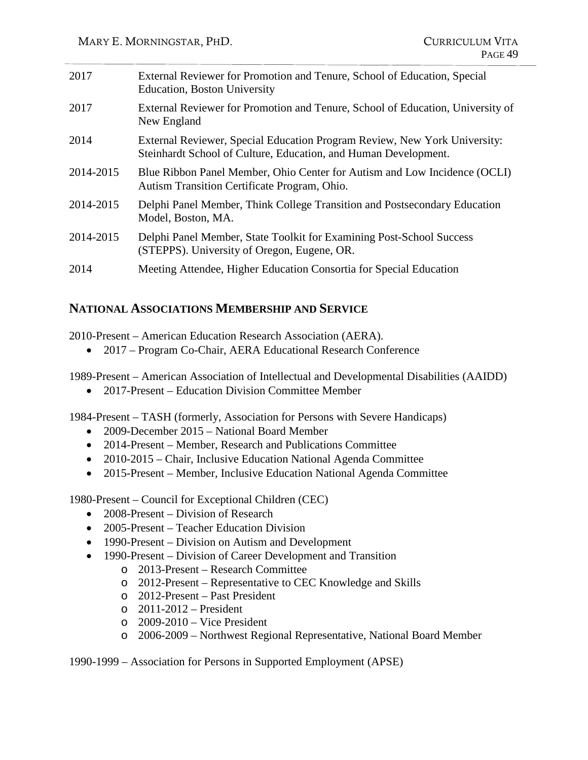| 2017      | External Reviewer for Promotion and Tenure, School of Education, Special<br><b>Education, Boston University</b>                              |
|-----------|----------------------------------------------------------------------------------------------------------------------------------------------|
| 2017      | External Reviewer for Promotion and Tenure, School of Education, University of<br>New England                                                |
| 2014      | External Reviewer, Special Education Program Review, New York University:<br>Steinhardt School of Culture, Education, and Human Development. |
| 2014-2015 | Blue Ribbon Panel Member, Ohio Center for Autism and Low Incidence (OCLI)<br>Autism Transition Certificate Program, Ohio.                    |
| 2014-2015 | Delphi Panel Member, Think College Transition and Postsecondary Education<br>Model, Boston, MA.                                              |
| 2014-2015 | Delphi Panel Member, State Toolkit for Examining Post-School Success<br>(STEPPS). University of Oregon, Eugene, OR.                          |
| 2014      | Meeting Attendee, Higher Education Consortia for Special Education                                                                           |

## **NATIONAL ASSOCIATIONS MEMBERSHIP AND SERVICE**

2010-Present – American Education Research Association (AERA).

• 2017 – Program Co-Chair, AERA Educational Research Conference

1989-Present – American Association of Intellectual and Developmental Disabilities (AAIDD)

• 2017-Present – Education Division Committee Member

1984-Present – TASH (formerly, Association for Persons with Severe Handicaps)

- 2009-December 2015 National Board Member
- 2014-Present Member, Research and Publications Committee
- 2010-2015 Chair, Inclusive Education National Agenda Committee
- 2015-Present Member, Inclusive Education National Agenda Committee

1980-Present – Council for Exceptional Children (CEC)

- 2008-Present Division of Research
- 2005-Present Teacher Education Division
- 1990-Present Division on Autism and Development
- 1990-Present Division of Career Development and Transition
	- o 2013-Present Research Committee
	- o 2012-Present Representative to CEC Knowledge and Skills
	- o 2012-Present Past President
	- o 2011-2012 President
	- o 2009-2010 Vice President
	- o 2006-2009 Northwest Regional Representative, National Board Member

1990-1999 – Association for Persons in Supported Employment (APSE)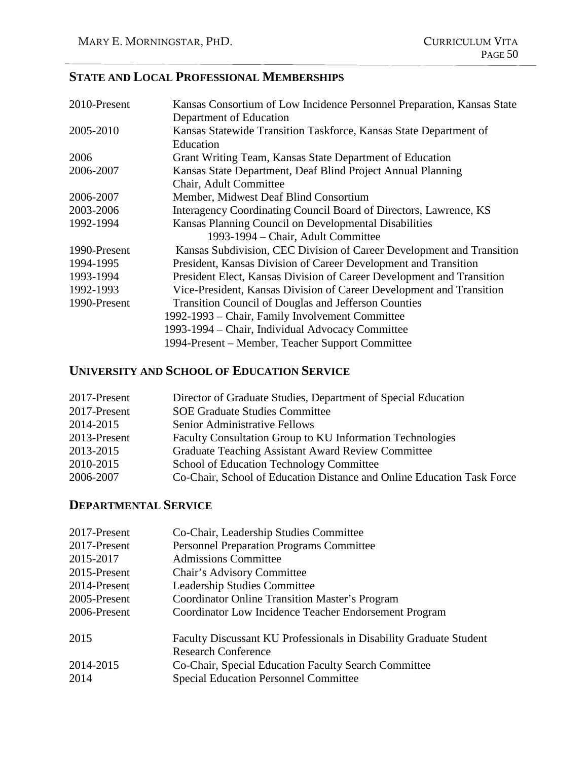# **STATE AND LOCAL PROFESSIONAL MEMBERSHIPS**

| 2010-Present | Kansas Consortium of Low Incidence Personnel Preparation, Kansas State |
|--------------|------------------------------------------------------------------------|
|              | Department of Education                                                |
| 2005-2010    | Kansas Statewide Transition Taskforce, Kansas State Department of      |
|              | Education                                                              |
| 2006         | Grant Writing Team, Kansas State Department of Education               |
| 2006-2007    | Kansas State Department, Deaf Blind Project Annual Planning            |
|              | Chair, Adult Committee                                                 |
| 2006-2007    | Member, Midwest Deaf Blind Consortium                                  |
| 2003-2006    | Interagency Coordinating Council Board of Directors, Lawrence, KS      |
| 1992-1994    | Kansas Planning Council on Developmental Disabilities                  |
|              | 1993-1994 – Chair, Adult Committee                                     |
| 1990-Present | Kansas Subdivision, CEC Division of Career Development and Transition  |
| 1994-1995    | President, Kansas Division of Career Development and Transition        |
| 1993-1994    | President Elect, Kansas Division of Career Development and Transition  |
| 1992-1993    | Vice-President, Kansas Division of Career Development and Transition   |
| 1990-Present | <b>Transition Council of Douglas and Jefferson Counties</b>            |
|              | 1992-1993 – Chair, Family Involvement Committee                        |
|              | 1993-1994 – Chair, Individual Advocacy Committee                       |
|              | 1994-Present – Member, Teacher Support Committee                       |

# **UNIVERSITY AND SCHOOL OF EDUCATION SERVICE**

| 2017-Present | Director of Graduate Studies, Department of Special Education          |
|--------------|------------------------------------------------------------------------|
| 2017-Present | <b>SOE Graduate Studies Committee</b>                                  |
| 2014-2015    | Senior Administrative Fellows                                          |
| 2013-Present | <b>Faculty Consultation Group to KU Information Technologies</b>       |
| 2013-2015    | <b>Graduate Teaching Assistant Award Review Committee</b>              |
| 2010-2015    | School of Education Technology Committee                               |
| 2006-2007    | Co-Chair, School of Education Distance and Online Education Task Force |
|              |                                                                        |

# **DEPARTMENTAL SERVICE**

| 2017-Present | Co-Chair, Leadership Studies Committee                                                           |
|--------------|--------------------------------------------------------------------------------------------------|
| 2017-Present | <b>Personnel Preparation Programs Committee</b>                                                  |
| 2015-2017    | <b>Admissions Committee</b>                                                                      |
| 2015-Present | Chair's Advisory Committee                                                                       |
| 2014-Present | <b>Leadership Studies Committee</b>                                                              |
| 2005-Present | <b>Coordinator Online Transition Master's Program</b>                                            |
| 2006-Present | Coordinator Low Incidence Teacher Endorsement Program                                            |
| 2015         | Faculty Discussant KU Professionals in Disability Graduate Student<br><b>Research Conference</b> |
| 2014-2015    | Co-Chair, Special Education Faculty Search Committee                                             |
| 2014         | <b>Special Education Personnel Committee</b>                                                     |
|              |                                                                                                  |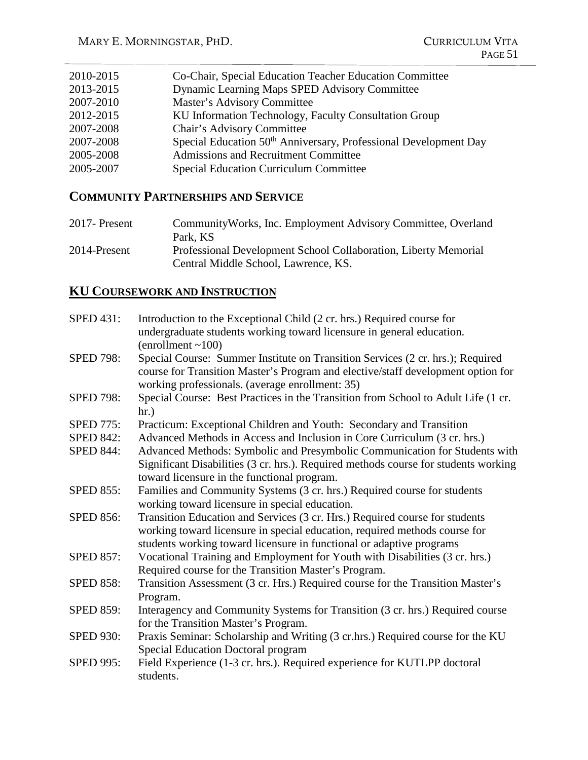| 2010-2015 | Co-Chair, Special Education Teacher Education Committee                      |
|-----------|------------------------------------------------------------------------------|
| 2013-2015 | Dynamic Learning Maps SPED Advisory Committee                                |
| 2007-2010 | Master's Advisory Committee                                                  |
| 2012-2015 | KU Information Technology, Faculty Consultation Group                        |
| 2007-2008 | Chair's Advisory Committee                                                   |
| 2007-2008 | Special Education 50 <sup>th</sup> Anniversary, Professional Development Day |
| 2005-2008 | <b>Admissions and Recruitment Committee</b>                                  |
| 2005-2007 | <b>Special Education Curriculum Committee</b>                                |
|           |                                                                              |

# **COMMUNITY PARTNERSHIPS AND SERVICE**

| 2017- Present | Community Works, Inc. Employment Advisory Committee, Overland<br>Park, KS                               |
|---------------|---------------------------------------------------------------------------------------------------------|
| 2014-Present  | Professional Development School Collaboration, Liberty Memorial<br>Central Middle School, Lawrence, KS. |

# **KU COURSEWORK AND INSTRUCTION**

| <b>SPED 431:</b> | Introduction to the Exceptional Child (2 cr. hrs.) Required course for<br>undergraduate students working toward licensure in general education.                                                                                   |
|------------------|-----------------------------------------------------------------------------------------------------------------------------------------------------------------------------------------------------------------------------------|
|                  | (enrollment ~100)                                                                                                                                                                                                                 |
| <b>SPED 798:</b> | Special Course: Summer Institute on Transition Services (2 cr. hrs.); Required<br>course for Transition Master's Program and elective/staff development option for<br>working professionals. (average enrollment: 35)             |
| <b>SPED 798:</b> | Special Course: Best Practices in the Transition from School to Adult Life (1 cr.<br>hr.)                                                                                                                                         |
| <b>SPED 775:</b> | Practicum: Exceptional Children and Youth: Secondary and Transition                                                                                                                                                               |
| <b>SPED 842:</b> | Advanced Methods in Access and Inclusion in Core Curriculum (3 cr. hrs.)                                                                                                                                                          |
| <b>SPED 844:</b> | Advanced Methods: Symbolic and Presymbolic Communication for Students with<br>Significant Disabilities (3 cr. hrs.). Required methods course for students working<br>toward licensure in the functional program.                  |
| <b>SPED 855:</b> | Families and Community Systems (3 cr. hrs.) Required course for students<br>working toward licensure in special education.                                                                                                        |
| <b>SPED 856:</b> | Transition Education and Services (3 cr. Hrs.) Required course for students<br>working toward licensure in special education, required methods course for<br>students working toward licensure in functional or adaptive programs |
| <b>SPED 857:</b> | Vocational Training and Employment for Youth with Disabilities (3 cr. hrs.)<br>Required course for the Transition Master's Program.                                                                                               |
| <b>SPED 858:</b> | Transition Assessment (3 cr. Hrs.) Required course for the Transition Master's<br>Program.                                                                                                                                        |
| <b>SPED 859:</b> | Interagency and Community Systems for Transition (3 cr. hrs.) Required course<br>for the Transition Master's Program.                                                                                                             |
| <b>SPED 930:</b> | Praxis Seminar: Scholarship and Writing (3 cr.hrs.) Required course for the KU<br><b>Special Education Doctoral program</b>                                                                                                       |
| <b>SPED 995:</b> | Field Experience (1-3 cr. hrs.). Required experience for KUTLPP doctoral<br>students.                                                                                                                                             |